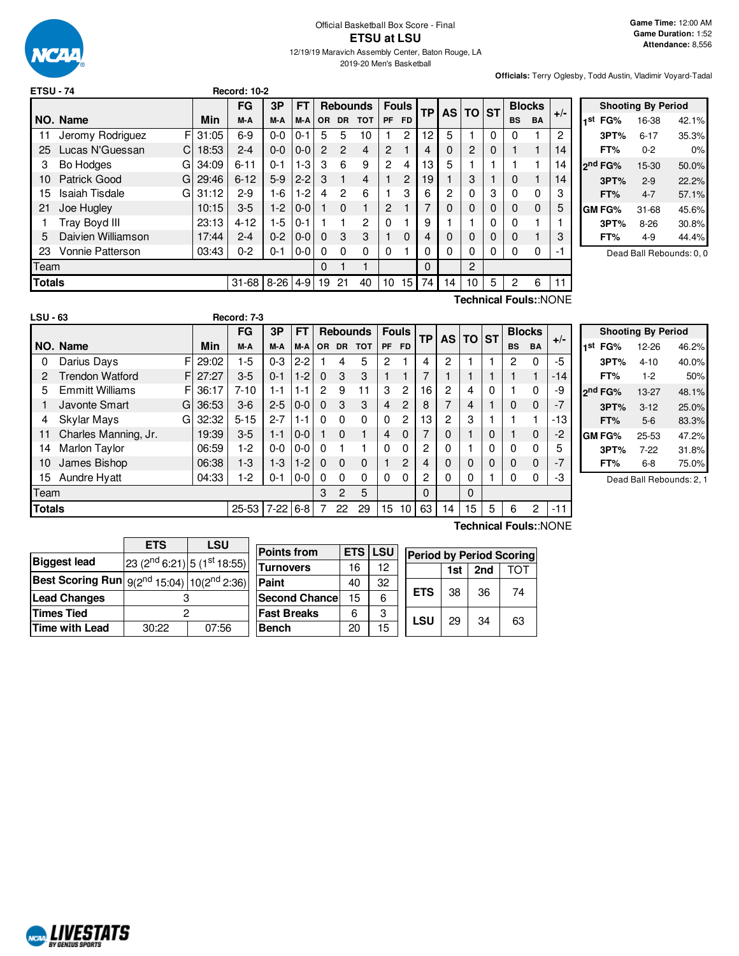

### Official Basketball Box Score - Final **ETSU at LSU** 12/19/19 Maravich Assembly Center, Baton Rouge, LA

2019-20 Men's Basketball

**Officials:** Terry Oglesby, Todd Austin, Vladimir Voyard-Tadal

|        |                              |       | <b>FG</b> | 3Р       | FT      |          | <b>Rebounds</b> |            | <b>Fouls</b>   |                |           |           |                |           | <b>Blocks</b> |           |       |
|--------|------------------------------|-------|-----------|----------|---------|----------|-----------------|------------|----------------|----------------|-----------|-----------|----------------|-----------|---------------|-----------|-------|
|        | NO. Name                     | Min   | M-A       | M-A      | $M-A$   | OR.      | <b>DR</b>       | <b>TOT</b> | <b>PF</b>      | <b>FD</b>      | <b>TP</b> | <b>AS</b> | <b>TO</b>      | <b>ST</b> | <b>BS</b>     | <b>BA</b> | $+/-$ |
| 11     | Jeromy Rodriguez<br>F        | 31:05 | 6-9       | $0-0$    | $0 - 1$ | 5        | 5               | 10         |                | 2              | 12        | 5         |                | $\Omega$  | 0             |           | 2     |
| 25     | Lucas N'Guessan<br>С         | 18:53 | $2 - 4$   | $0-0$    | $0 - 0$ | 2        | $\overline{2}$  | 4          | 2              |                | 4         | 0         | $\overline{c}$ | 0         |               | 1         | 14    |
| 3      | Bo Hodges<br>G               | 34:09 | $6 - 11$  | $0 - 1$  | 1-3     | 3        | 6               | 9          | $\overline{c}$ | 4              | 13        | 5         |                |           |               |           | 14    |
| 10     | Patrick Good<br>G            | 29:46 | $6 - 12$  | $5-9$    | $2 - 2$ | 3        |                 | 4          |                | $\overline{2}$ | 19        |           | 3              |           | 0             |           | 14    |
| 15     | <b>Isaiah Tisdale</b><br>G   | 31:12 | $2-9$     | $1-6$    | $1-2$   | 4        | 2               | 6          |                | 3              | 6         | 2         | 0              | 3         | $\Omega$      | $\Omega$  | 3     |
| 21     | Joe Hugley                   | 10:15 | $3-5$     | $1-2$    | $0 - 0$ |          | $\Omega$        | 1          | 2              |                |           | 0         | $\Omega$       | 0         | 0             | $\Omega$  | 5     |
|        | Tray Boyd III                | 23:13 | $4 - 12$  | $1-5$    | $0 - 1$ |          |                 | 2          | $\mathbf{0}$   |                | 9         |           |                | 0         | $\Omega$      | 1         |       |
| 5      | Daivien Williamson           | 17:44 | $2 - 4$   | $0 - 2$  | $0 - 0$ | $\Omega$ | 3               | 3          |                | $\Omega$       | 4         | 0         | $\Omega$       | 0         | 0             |           | 3     |
| 23     | <b>Vonnie Patterson</b>      | 03:43 | $0 - 2$   | $0 - 1$  | $0-0$   | $\Omega$ | 0               | 0          | 0              |                | 0         | 0         | 0              | 0         | $\Omega$      | 0         | -1    |
| Team   |                              |       |           |          |         | 0        |                 | 1          |                |                | 0         |           | $\overline{c}$ |           |               |           |       |
| Totals |                              |       | $31 - 68$ | $8 - 26$ | $4-9$   | 19       | 21              | 40         | 10             | 15             | 74        | 14        | 10             | 5         | 2             | 6         | 11    |
|        | <b>Technical Fouls::NONE</b> |       |           |          |         |          |                 |            |                |                |           |           |                |           |               |           |       |

|     |                     | <b>Shooting By Period</b> |       |
|-----|---------------------|---------------------------|-------|
| 1st | FG%                 | 16-38                     | 42.1% |
|     | 3PT%                | $6 - 17$                  | 35.3% |
|     | FT%                 | $0 - 2$                   | 0%    |
|     | 2 <sup>nd</sup> FG% | 15-30                     | 50.0% |
|     | 3PT%                | $2 - 9$                   | 22.2% |
|     | FT%                 | $4 - 7$                   | 57.1% |
|     | GM FG%              | $31 - 68$                 | 45.6% |
|     | 3PT%                | $8-26$                    | 30.8% |
|     | FT%                 | 4-9                       | 44.4% |

Dead Ball Rebounds: 0, 0

| <b>LSU - 63</b> |                        |    |            | Record: 7-3 |            |           |           |              |                 |                |              |                |                          |                |          |           |               |       |                |
|-----------------|------------------------|----|------------|-------------|------------|-----------|-----------|--------------|-----------------|----------------|--------------|----------------|--------------------------|----------------|----------|-----------|---------------|-------|----------------|
|                 |                        |    |            | <b>FG</b>   | 3P         | <b>FT</b> |           |              | <b>Rebounds</b> |                | <b>Fouls</b> | <b>TP</b>      |                          | AS TO ST       |          |           | <b>Blocks</b> |       |                |
|                 | NO. Name               |    | <b>Min</b> | M-A         | M-A        | M-A       | <b>OR</b> | <b>DR</b>    | <b>TOT</b>      | <b>PF</b>      | <b>FD</b>    |                |                          |                |          | <b>BS</b> | <b>BA</b>     | $+/-$ | 1 <sup>s</sup> |
| 0               | Darius Days            | FI | 29:02      | $1-5$       | $0 - 3$    | $2 - 2$   |           | 4            | 5               | $\overline{c}$ |              | 4              | 2                        |                |          | 2         | 0             | -5    |                |
| 2               | <b>Trendon Watford</b> | FI | 27:27      | $3-5$       | $0 - 1$    | $1-2$     | $\Omega$  | 3            | 3               |                |              |                |                          |                |          |           |               | -14   |                |
| 5               | <b>Emmitt Williams</b> | FI | 36:17      | $7 - 10$    | $1 - 1$    | $1 - 1$   | 2         | 9            | 11              | 3              | 2            | 16             | 2                        | 4              | 0        |           | $\Omega$      | -9    | 2 <sup>n</sup> |
|                 | Javonte Smart          | Gl | 36:53      | $3-6$       | $2 - 5$    | $0-0$     | $\Omega$  | 3            | 3               | 4              | 2            | 8              | $\overline{\phantom{a}}$ | $\overline{4}$ |          | $\Omega$  | $\Omega$      | $-7$  |                |
| 4               | <b>Skylar Mays</b>     | GI | 32:32      | $5 - 15$    | $2 - 7$    | $1 - 1$   | 0         | $\Omega$     | $\Omega$        | $\Omega$       | 2            | 13             | 2                        | 3              |          |           |               | -13   |                |
| 11              | Charles Manning, Jr.   |    | 19:39      | $3-5$       | $1 - 1$    | $0-0$     |           | $\Omega$     | 1               | 4              | $\Omega$     |                | 0                        |                | 0        |           | $\Omega$      | $-2$  | GI             |
| 14              | Marlon Taylor          |    | 06:59      | $1-2$       | $0 - 0$    | $0-0$     | $\Omega$  |              |                 | $\Omega$       | 0            | 2              | 0                        |                | 0        | $\Omega$  | $\mathbf 0$   | 5     |                |
| 10              | James Bishop           |    | 06:38      | $1 - 3$     | $1 - 3$    | $1-2$     | $\Omega$  | $\Omega$     | $\mathbf 0$     |                | 2            | 4              | 0                        | $\Omega$       | $\Omega$ | $\Omega$  | $\Omega$      | $-7$  |                |
| 15              | <b>Aundre Hyatt</b>    |    | 04:33      | $1-2$       | $0 - 1$    | $0-0$     | $\Omega$  | $\Omega$     | 0               | 0              | 0            | $\overline{c}$ | 0                        | 0              |          | $\Omega$  | 0             | -3    |                |
| Team            |                        |    |            |             |            |           | 3         | $\mathbf{2}$ | 5               |                |              | $\Omega$       |                          | $\Omega$       |          |           |               |       |                |
| <b>Totals</b>   |                        |    |            | 25-53       | $7-22$ 6-8 |           |           | 22           | 29              | 15             | 10           | 63             | 14                       | 15             | 5        | 6         | 2             | $-11$ |                |

|     | <b>Shooting By Period</b> |           |                          |  |  |  |  |  |  |
|-----|---------------------------|-----------|--------------------------|--|--|--|--|--|--|
| 1st | FG%                       | 12-26     | 46.2%                    |  |  |  |  |  |  |
|     | 3PT%                      | $4 - 10$  | 40.0%                    |  |  |  |  |  |  |
|     | FT%                       | $1-2$     | 50%                      |  |  |  |  |  |  |
|     | 2 <sup>nd</sup> FG%       | 13-27     | 48.1%                    |  |  |  |  |  |  |
|     | 3PT%                      | $3 - 12$  | 25.0%                    |  |  |  |  |  |  |
|     | FT%                       | $5-6$     | 83.3%                    |  |  |  |  |  |  |
|     | GM FG%                    | $25 - 53$ | 47.2%                    |  |  |  |  |  |  |
|     | 3PT%                      | $7-22$    | 31.8%                    |  |  |  |  |  |  |
|     | FT%                       | 6-8       | 75.0%                    |  |  |  |  |  |  |
|     |                           |           | Dead Ball Rebounds: 2, 1 |  |  |  |  |  |  |

|                                                             | <b>ETS</b>                                          | LSU   |  |  |  |  |  |
|-------------------------------------------------------------|-----------------------------------------------------|-------|--|--|--|--|--|
| <b>Biggest lead</b>                                         | 23 (2 <sup>nd</sup> 6:21) 5 (1 <sup>st</sup> 18:55) |       |  |  |  |  |  |
| <b>Best Scoring Run</b> $9(2^{nd} 15:04)   10(2^{nd} 2:36)$ |                                                     |       |  |  |  |  |  |
| <b>Lead Changes</b>                                         |                                                     |       |  |  |  |  |  |
| Times Tied                                                  |                                                     |       |  |  |  |  |  |
| <b>Time with Lead</b>                                       | 30:22                                               | 07:56 |  |  |  |  |  |

| <b>Points from</b>    | <b>ETS LSU</b> |    | Period by  |    |  |
|-----------------------|----------------|----|------------|----|--|
| <b>Turnovers</b>      | 16             | 12 |            | 1s |  |
| Paint                 | 40             | 32 |            |    |  |
| <b>Second Chancel</b> | 15             | 6  | <b>ETS</b> | 38 |  |
| <b>Fast Breaks</b>    | հ              | 3  | LSU        |    |  |
| Bench                 | 20             | 15 |            | 29 |  |

**Technical Fouls:**:NONE

| SU |            | <b>Period by Period Scoring</b> |     |     |  |  |  |  |  |  |
|----|------------|---------------------------------|-----|-----|--|--|--|--|--|--|
| 12 |            | 1st                             | 2nd | ТОТ |  |  |  |  |  |  |
| 32 |            |                                 |     |     |  |  |  |  |  |  |
| 6  | <b>ETS</b> | 38                              | 36  | 74  |  |  |  |  |  |  |
| 3  |            | 29                              |     |     |  |  |  |  |  |  |
| 15 | <b>LSU</b> |                                 | 34  | 63  |  |  |  |  |  |  |

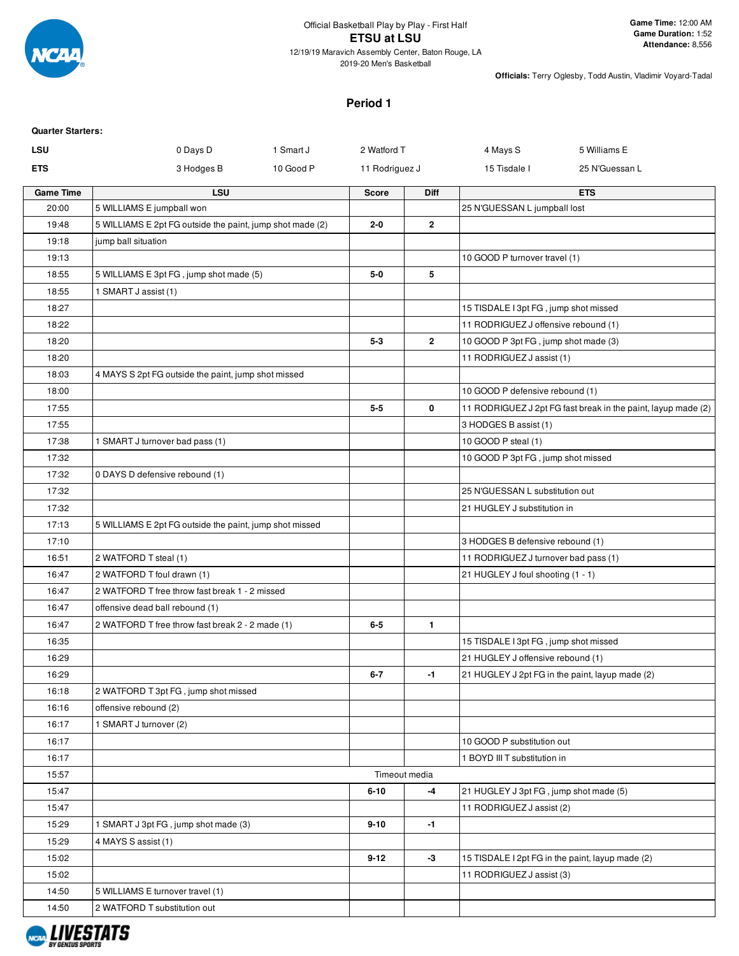

2019-20 Men's Basketball

**Officials:** Terry Oglesby, Todd Austin, Vladimir Voyard-Tadal

### **Period 1**

| <b>Quarter Starters:</b> |                                                                                   |           |                |                |                                        |                                                               |
|--------------------------|-----------------------------------------------------------------------------------|-----------|----------------|----------------|----------------------------------------|---------------------------------------------------------------|
| <b>LSU</b>               | 0 Days D                                                                          | 1 Smart J | 2 Watford T    |                | 4 Mays S                               | 5 Williams E                                                  |
| <b>ETS</b>               | 3 Hodges B                                                                        | 10 Good P | 11 Rodriguez J |                | 15 Tisdale I                           | 25 N'Guessan L                                                |
| <b>Game Time</b>         | <b>LSU</b>                                                                        |           | <b>Score</b>   | Diff           |                                        | <b>ETS</b>                                                    |
| 20:00                    | 5 WILLIAMS E jumpball won                                                         |           |                |                | 25 N'GUESSAN L jumpball lost           |                                                               |
| 19:48                    | 5 WILLIAMS E 2pt FG outside the paint, jump shot made (2)                         |           | $2 - 0$        | $\overline{2}$ |                                        |                                                               |
| 19:18                    | jump ball situation                                                               |           |                |                |                                        |                                                               |
| 19:13                    |                                                                                   |           |                |                | 10 GOOD P turnover travel (1)          |                                                               |
| 18:55                    | 5 WILLIAMS E 3pt FG, jump shot made (5)                                           |           | $5-0$          | 5              |                                        |                                                               |
| 18:55                    | 1 SMART J assist (1)                                                              |           |                |                |                                        |                                                               |
| 18:27                    |                                                                                   |           |                |                | 15 TISDALE I 3pt FG, jump shot missed  |                                                               |
| 18:22                    |                                                                                   |           |                |                | 11 RODRIGUEZ J offensive rebound (1)   |                                                               |
| 18:20                    |                                                                                   |           | $5 - 3$        | $\overline{2}$ | 10 GOOD P 3pt FG, jump shot made (3)   |                                                               |
| 18:20                    |                                                                                   |           |                |                | 11 RODRIGUEZ J assist (1)              |                                                               |
| 18:03                    | 4 MAYS S 2pt FG outside the paint, jump shot missed                               |           |                |                |                                        |                                                               |
| 18:00                    |                                                                                   |           |                |                | 10 GOOD P defensive rebound (1)        |                                                               |
| 17:55                    |                                                                                   |           | $5 - 5$        | 0              |                                        | 11 RODRIGUEZ J 2pt FG fast break in the paint, layup made (2) |
| 17:55                    |                                                                                   |           |                |                | 3 HODGES B assist (1)                  |                                                               |
| 17:38                    | 1 SMART J turnover bad pass (1)                                                   |           |                |                | 10 GOOD P steal (1)                    |                                                               |
| 17:32                    |                                                                                   |           |                |                | 10 GOOD P 3pt FG, jump shot missed     |                                                               |
| 17:32                    | 0 DAYS D defensive rebound (1)                                                    |           |                |                |                                        |                                                               |
| 17:32                    |                                                                                   |           |                |                | 25 N'GUESSAN L substitution out        |                                                               |
| 17:32                    |                                                                                   |           |                |                | 21 HUGLEY J substitution in            |                                                               |
| 17:13                    | 5 WILLIAMS E 2pt FG outside the paint, jump shot missed                           |           |                |                |                                        |                                                               |
| 17:10                    |                                                                                   |           |                |                | 3 HODGES B defensive rebound (1)       |                                                               |
| 16:51                    | 2 WATFORD T steal (1)                                                             |           |                |                | 11 RODRIGUEZ J turnover bad pass (1)   |                                                               |
| 16:47                    | 2 WATFORD T foul drawn (1)                                                        |           |                |                | 21 HUGLEY J foul shooting (1 - 1)      |                                                               |
| 16:47<br>16:47           | 2 WATFORD T free throw fast break 1 - 2 missed<br>offensive dead ball rebound (1) |           |                |                |                                        |                                                               |
| 16:47                    | 2 WATFORD T free throw fast break 2 - 2 made (1)                                  |           | $6-5$          | $\mathbf{1}$   |                                        |                                                               |
| 16:35                    |                                                                                   |           |                |                | 15 TISDALE I 3pt FG, jump shot missed  |                                                               |
| 16:29                    |                                                                                   |           |                |                | 21 HUGLEY J offensive rebound (1)      |                                                               |
| 16:29                    |                                                                                   |           | $6 - 7$        | $-1$           |                                        | 21 HUGLEY J 2pt FG in the paint, layup made (2)               |
| 16:18                    | 2 WATFORD T 3pt FG, jump shot missed                                              |           |                |                |                                        |                                                               |
| 16:16                    | offensive rebound (2)                                                             |           |                |                |                                        |                                                               |
| 16:17                    | 1 SMART J turnover (2)                                                            |           |                |                |                                        |                                                               |
| 16:17                    |                                                                                   |           |                |                | 10 GOOD P substitution out             |                                                               |
| 16:17                    |                                                                                   |           |                |                | 1 BOYD III T substitution in           |                                                               |
| 15:57                    |                                                                                   |           |                | Timeout media  |                                        |                                                               |
| 15:47                    |                                                                                   |           | $6 - 10$       | -4             | 21 HUGLEY J 3pt FG, jump shot made (5) |                                                               |
| 15:47                    |                                                                                   |           |                |                | 11 RODRIGUEZ J assist (2)              |                                                               |
| 15:29                    | 1 SMART J 3pt FG, jump shot made (3)                                              |           | $9 - 10$       | $-1$           |                                        |                                                               |
| 15:29                    | 4 MAYS S assist (1)                                                               |           |                |                |                                        |                                                               |
| 15:02                    |                                                                                   |           | $9 - 12$       | -3             |                                        | 15 TISDALE I 2pt FG in the paint, layup made (2)              |
| 15:02                    |                                                                                   |           |                |                | 11 RODRIGUEZ J assist (3)              |                                                               |
| 14:50                    | 5 WILLIAMS E turnover travel (1)                                                  |           |                |                |                                        |                                                               |
| 14:50                    | 2 WATFORD T substitution out                                                      |           |                |                |                                        |                                                               |
|                          |                                                                                   |           |                |                |                                        |                                                               |

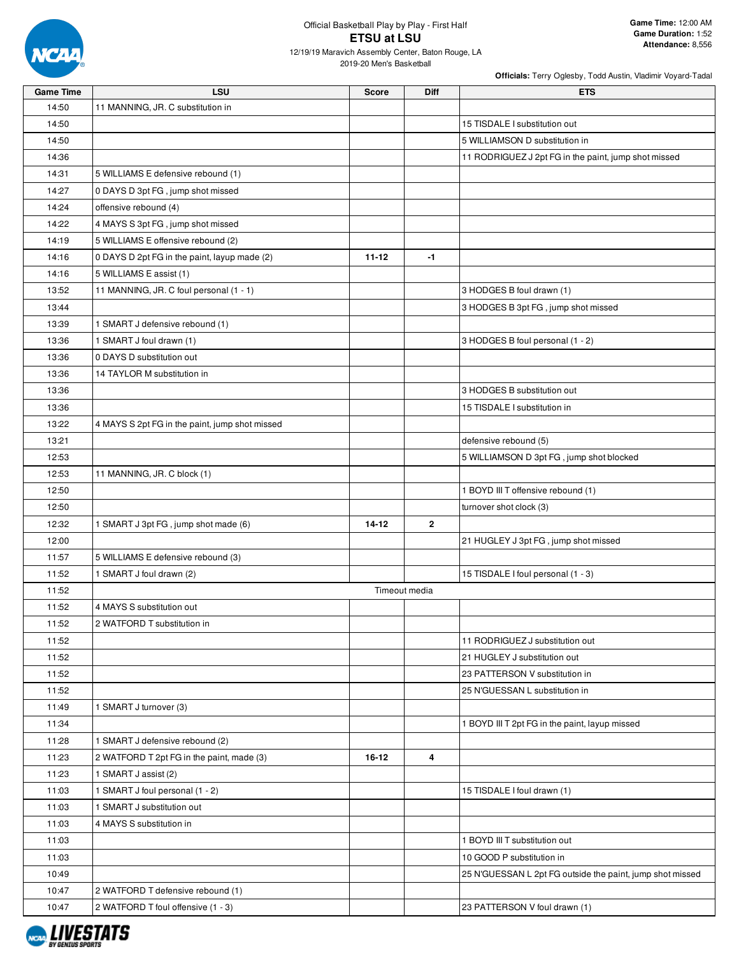

12/19/19 Maravich Assembly Center, Baton Rouge, LA

2019-20 Men's Basketball

|                  |                                                |               |              | Officials: Terry Oglesby, Todd Austin, Vladimir Voyard-Tadal |
|------------------|------------------------------------------------|---------------|--------------|--------------------------------------------------------------|
| <b>Game Time</b> | LSU                                            | <b>Score</b>  | <b>Diff</b>  | ETS                                                          |
| 14:50            | 11 MANNING, JR. C substitution in              |               |              |                                                              |
| 14:50            |                                                |               |              | 15 TISDALE I substitution out                                |
| 14:50            |                                                |               |              | 5 WILLIAMSON D substitution in                               |
| 14:36            |                                                |               |              | 11 RODRIGUEZ J 2pt FG in the paint, jump shot missed         |
| 14:31            | 5 WILLIAMS E defensive rebound (1)             |               |              |                                                              |
| 14:27            | 0 DAYS D 3pt FG, jump shot missed              |               |              |                                                              |
| 14:24            | offensive rebound (4)                          |               |              |                                                              |
| 14:22            | 4 MAYS S 3pt FG, jump shot missed              |               |              |                                                              |
| 14:19            | 5 WILLIAMS E offensive rebound (2)             |               |              |                                                              |
| 14:16            | 0 DAYS D 2pt FG in the paint, layup made (2)   | $11 - 12$     | $-1$         |                                                              |
| 14:16            | 5 WILLIAMS E assist (1)                        |               |              |                                                              |
| 13:52            | 11 MANNING, JR. C foul personal (1 - 1)        |               |              | 3 HODGES B foul drawn (1)                                    |
| 13:44            |                                                |               |              | 3 HODGES B 3pt FG, jump shot missed                          |
| 13:39            | 1 SMART J defensive rebound (1)                |               |              |                                                              |
| 13:36            | 1 SMART J foul drawn (1)                       |               |              | 3 HODGES B foul personal (1 - 2)                             |
| 13:36            | 0 DAYS D substitution out                      |               |              |                                                              |
| 13:36            | 14 TAYLOR M substitution in                    |               |              |                                                              |
| 13:36            |                                                |               |              | 3 HODGES B substitution out                                  |
| 13:36            |                                                |               |              | 15 TISDALE I substitution in                                 |
| 13:22            | 4 MAYS S 2pt FG in the paint, jump shot missed |               |              |                                                              |
| 13:21            |                                                |               |              | defensive rebound (5)                                        |
| 12:53            |                                                |               |              | 5 WILLIAMSON D 3pt FG, jump shot blocked                     |
| 12:53            | 11 MANNING, JR. C block (1)                    |               |              |                                                              |
| 12:50            |                                                |               |              | 1 BOYD III T offensive rebound (1)                           |
| 12:50            |                                                |               |              | turnover shot clock (3)                                      |
| 12:32            | 1 SMART J 3pt FG, jump shot made (6)           | $14 - 12$     | $\mathbf{2}$ |                                                              |
| 12:00            |                                                |               |              | 21 HUGLEY J 3pt FG, jump shot missed                         |
| 11:57            | 5 WILLIAMS E defensive rebound (3)             |               |              |                                                              |
| 11:52            | 1 SMART J foul drawn (2)                       |               |              | 15 TISDALE I foul personal (1 - 3)                           |
| 11:52            |                                                | Timeout media |              |                                                              |
| 11:52            | 4 MAYS S substitution out                      |               |              |                                                              |
| 11:52            | 2 WATFORD T substitution in                    |               |              |                                                              |
| 11:52            |                                                |               |              | 11 RODRIGUEZ J substitution out                              |
| 11:52            |                                                |               |              | 21 HUGLEY J substitution out                                 |
| 11:52            |                                                |               |              | 23 PATTERSON V substitution in                               |
| 11:52            |                                                |               |              | 25 N'GUESSAN L substitution in                               |
| 11:49            | 1 SMART J turnover (3)                         |               |              |                                                              |
| 11:34            |                                                |               |              | 1 BOYD III T 2pt FG in the paint, layup missed               |
| 11:28            | 1 SMART J defensive rebound (2)                |               |              |                                                              |
| 11:23            | 2 WATFORD T 2pt FG in the paint, made (3)      | 16-12         | 4            |                                                              |
| 11:23            | 1 SMART J assist (2)                           |               |              |                                                              |
| 11:03            | 1 SMART J foul personal (1 - 2)                |               |              | 15 TISDALE I foul drawn (1)                                  |
| 11:03            | 1 SMART J substitution out                     |               |              |                                                              |
| 11:03            | 4 MAYS S substitution in                       |               |              |                                                              |
|                  |                                                |               |              |                                                              |
| 11:03            |                                                |               |              | 1 BOYD III T substitution out                                |
| 11:03            |                                                |               |              | 10 GOOD P substitution in                                    |
| 10:49            |                                                |               |              | 25 N'GUESSAN L 2pt FG outside the paint, jump shot missed    |
| 10:47            | 2 WATFORD T defensive rebound (1)              |               |              |                                                              |
| 10:47            | 2 WATFORD T foul offensive (1 - 3)             |               |              | 23 PATTERSON V foul drawn (1)                                |

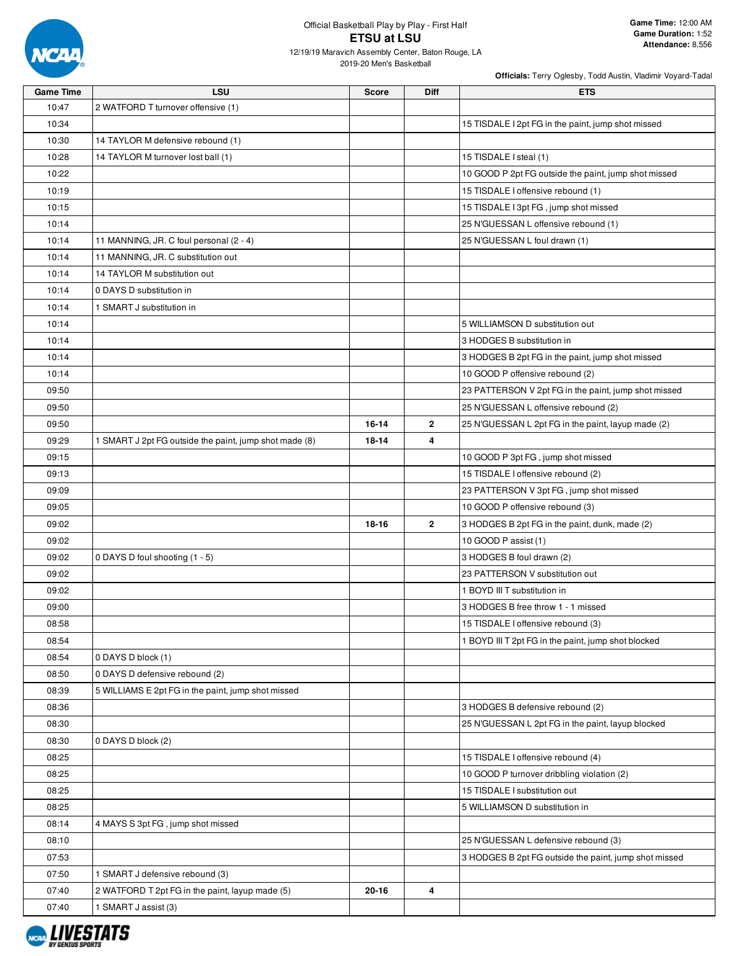

12/19/19 Maravich Assembly Center, Baton Rouge, LA 2019-20 Men's Basketball

| <b>Game Time</b> | <b>LSU</b>                                             | <b>Score</b> | Diff         | <b>ETS</b>                                            |
|------------------|--------------------------------------------------------|--------------|--------------|-------------------------------------------------------|
| 10:47            | 2 WATFORD T turnover offensive (1)                     |              |              |                                                       |
| 10:34            |                                                        |              |              | 15 TISDALE I 2pt FG in the paint, jump shot missed    |
| 10:30            | 14 TAYLOR M defensive rebound (1)                      |              |              |                                                       |
| 10:28            | 14 TAYLOR M turnover lost ball (1)                     |              |              | 15 TISDALE I steal (1)                                |
| 10:22            |                                                        |              |              | 10 GOOD P 2pt FG outside the paint, jump shot missed  |
| 10:19            |                                                        |              |              | 15 TISDALE I offensive rebound (1)                    |
| 10:15            |                                                        |              |              | 15 TISDALE I 3pt FG, jump shot missed                 |
| 10:14            |                                                        |              |              | 25 N'GUESSAN L offensive rebound (1)                  |
| 10:14            | 11 MANNING, JR. C foul personal (2 - 4)                |              |              | 25 N'GUESSAN L foul drawn (1)                         |
| 10:14            | 11 MANNING, JR. C substitution out                     |              |              |                                                       |
| 10:14            | 14 TAYLOR M substitution out                           |              |              |                                                       |
| 10:14            | 0 DAYS D substitution in                               |              |              |                                                       |
| 10:14            | 1 SMART J substitution in                              |              |              |                                                       |
| 10:14            |                                                        |              |              | 5 WILLIAMSON D substitution out                       |
| 10:14            |                                                        |              |              | 3 HODGES B substitution in                            |
| 10:14            |                                                        |              |              | 3 HODGES B 2pt FG in the paint, jump shot missed      |
| 10:14            |                                                        |              |              | 10 GOOD P offensive rebound (2)                       |
| 09:50            |                                                        |              |              | 23 PATTERSON V 2pt FG in the paint, jump shot missed  |
| 09:50            |                                                        |              |              | 25 N'GUESSAN L offensive rebound (2)                  |
| 09:50            |                                                        | 16-14        | $\mathbf{2}$ | 25 N'GUESSAN L 2pt FG in the paint, layup made (2)    |
| 09:29            | 1 SMART J 2pt FG outside the paint, jump shot made (8) | 18-14        | 4            |                                                       |
| 09:15            |                                                        |              |              | 10 GOOD P 3pt FG, jump shot missed                    |
| 09:13            |                                                        |              |              | 15 TISDALE I offensive rebound (2)                    |
| 09:09            |                                                        |              |              | 23 PATTERSON V 3pt FG, jump shot missed               |
| 09:05            |                                                        |              |              | 10 GOOD P offensive rebound (3)                       |
| 09:02            |                                                        | 18-16        | $\mathbf{2}$ | 3 HODGES B 2pt FG in the paint, dunk, made (2)        |
| 09:02            |                                                        |              |              | 10 GOOD P assist (1)                                  |
| 09:02            | 0 DAYS D foul shooting (1 - 5)                         |              |              | 3 HODGES B foul drawn (2)                             |
| 09:02            |                                                        |              |              | 23 PATTERSON V substitution out                       |
| 09:02            |                                                        |              |              | 1 BOYD III T substitution in                          |
| 09:00            |                                                        |              |              | 3 HODGES B free throw 1 - 1 missed                    |
| 08:58            |                                                        |              |              | 15 TISDALE I offensive rebound (3)                    |
| 08:54            |                                                        |              |              | 1 BOYD III T 2pt FG in the paint, jump shot blocked   |
| 08:54            | 0 DAYS D block (1)                                     |              |              |                                                       |
| 08:50            | 0 DAYS D defensive rebound (2)                         |              |              |                                                       |
| 08:39            | 5 WILLIAMS E 2pt FG in the paint, jump shot missed     |              |              |                                                       |
| 08:36            |                                                        |              |              | 3 HODGES B defensive rebound (2)                      |
| 08:30            |                                                        |              |              | 25 N'GUESSAN L 2pt FG in the paint, layup blocked     |
| 08:30            | 0 DAYS D block (2)                                     |              |              |                                                       |
| 08:25            |                                                        |              |              | 15 TISDALE I offensive rebound (4)                    |
| 08:25            |                                                        |              |              | 10 GOOD P turnover dribbling violation (2)            |
| 08:25            |                                                        |              |              | 15 TISDALE I substitution out                         |
| 08:25            |                                                        |              |              | 5 WILLIAMSON D substitution in                        |
| 08:14            | 4 MAYS S 3pt FG, jump shot missed                      |              |              |                                                       |
| 08:10            |                                                        |              |              | 25 N'GUESSAN L defensive rebound (3)                  |
| 07:53            |                                                        |              |              | 3 HODGES B 2pt FG outside the paint, jump shot missed |
| 07:50            | 1 SMART J defensive rebound (3)                        |              |              |                                                       |
| 07:40            | 2 WATFORD T 2pt FG in the paint, layup made (5)        | $20 - 16$    | 4            |                                                       |
| 07:40            | 1 SMART J assist (3)                                   |              |              |                                                       |

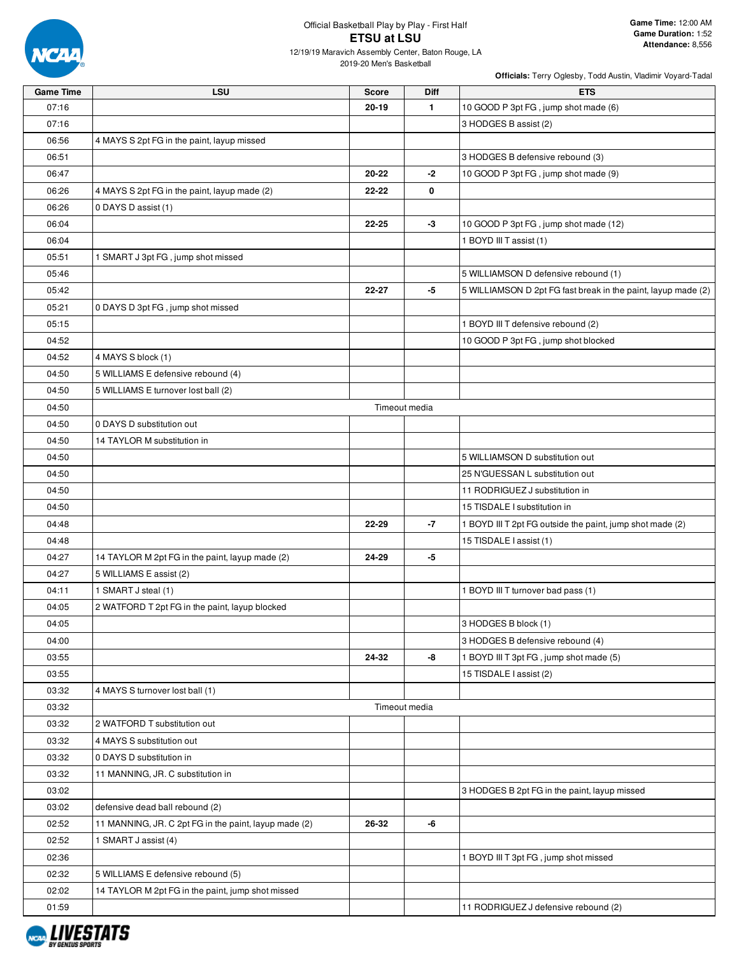

2019-20 Men's Basketball

| <b>Game Time</b> | <b>LSU</b>                                            | <b>Score</b> | Diff          | <b>ETS</b>                                                    |
|------------------|-------------------------------------------------------|--------------|---------------|---------------------------------------------------------------|
| 07:16            |                                                       | 20-19        | $\mathbf{1}$  | 10 GOOD P 3pt FG, jump shot made (6)                          |
| 07:16            |                                                       |              |               | 3 HODGES B assist (2)                                         |
| 06:56            | 4 MAYS S 2pt FG in the paint, layup missed            |              |               |                                                               |
| 06:51            |                                                       |              |               | 3 HODGES B defensive rebound (3)                              |
| 06:47            |                                                       | 20-22        | $-2$          | 10 GOOD P 3pt FG, jump shot made (9)                          |
| 06:26            | 4 MAYS S 2pt FG in the paint, layup made (2)          | 22-22        | 0             |                                                               |
| 06:26            | 0 DAYS D assist (1)                                   |              |               |                                                               |
| 06:04            |                                                       | 22-25        | -3            | 10 GOOD P 3pt FG, jump shot made (12)                         |
| 06:04            |                                                       |              |               | 1 BOYD III T assist (1)                                       |
| 05:51            | 1 SMART J 3pt FG, jump shot missed                    |              |               |                                                               |
| 05:46            |                                                       |              |               | 5 WILLIAMSON D defensive rebound (1)                          |
| 05:42            |                                                       | 22-27        | -5            | 5 WILLIAMSON D 2pt FG fast break in the paint, layup made (2) |
| 05:21            | 0 DAYS D 3pt FG, jump shot missed                     |              |               |                                                               |
| 05:15            |                                                       |              |               | 1 BOYD III T defensive rebound (2)                            |
| 04:52            |                                                       |              |               | 10 GOOD P 3pt FG, jump shot blocked                           |
| 04:52            | 4 MAYS S block (1)                                    |              |               |                                                               |
| 04:50            | 5 WILLIAMS E defensive rebound (4)                    |              |               |                                                               |
| 04:50            | 5 WILLIAMS E turnover lost ball (2)                   |              |               |                                                               |
| 04:50            |                                                       |              | Timeout media |                                                               |
| 04:50            | 0 DAYS D substitution out                             |              |               |                                                               |
| 04:50            | 14 TAYLOR M substitution in                           |              |               |                                                               |
| 04:50            |                                                       |              |               | 5 WILLIAMSON D substitution out                               |
| 04:50            |                                                       |              |               | 25 N'GUESSAN L substitution out                               |
| 04:50            |                                                       |              |               | 11 RODRIGUEZ J substitution in                                |
| 04:50            |                                                       |              |               | 15 TISDALE I substitution in                                  |
| 04:48            |                                                       | 22-29        | -7            | 1 BOYD III T 2pt FG outside the paint, jump shot made (2)     |
| 04:48            |                                                       |              |               | 15 TISDALE I assist (1)                                       |
| 04:27            | 14 TAYLOR M 2pt FG in the paint, layup made (2)       | 24-29        | -5            |                                                               |
| 04:27            | 5 WILLIAMS E assist (2)                               |              |               |                                                               |
| 04:11            | 1 SMART J steal (1)                                   |              |               | 1 BOYD III T turnover bad pass (1)                            |
| 04:05            | 2 WATFORD T 2pt FG in the paint, layup blocked        |              |               |                                                               |
| 04:05            |                                                       |              |               | 3 HODGES B block (1)                                          |
| 04:00            |                                                       |              |               | 3 HODGES B defensive rebound (4)                              |
| 03:55            |                                                       | 24-32        | -8            | 1 BOYD III T 3pt FG, jump shot made (5)                       |
| 03:55            |                                                       |              |               | 15 TISDALE I assist (2)                                       |
| 03:32            | 4 MAYS S turnover lost ball (1)                       |              |               |                                                               |
| 03:32            |                                                       |              | Timeout media |                                                               |
| 03:32            | 2 WATFORD T substitution out                          |              |               |                                                               |
| 03:32            | 4 MAYS S substitution out                             |              |               |                                                               |
| 03:32            | 0 DAYS D substitution in                              |              |               |                                                               |
|                  |                                                       |              |               |                                                               |
| 03:32            | 11 MANNING, JR. C substitution in                     |              |               |                                                               |
| 03:02            |                                                       |              |               | 3 HODGES B 2pt FG in the paint, layup missed                  |
| 03:02            | defensive dead ball rebound (2)                       |              |               |                                                               |
| 02:52            | 11 MANNING, JR. C 2pt FG in the paint, layup made (2) | 26-32        | -6            |                                                               |
| 02:52            | 1 SMART J assist (4)                                  |              |               |                                                               |
| 02:36            |                                                       |              |               | 1 BOYD III T 3pt FG, jump shot missed                         |
| 02:32            | 5 WILLIAMS E defensive rebound (5)                    |              |               |                                                               |
| 02:02            | 14 TAYLOR M 2pt FG in the paint, jump shot missed     |              |               |                                                               |
| 01:59            |                                                       |              |               | 11 RODRIGUEZ J defensive rebound (2)                          |

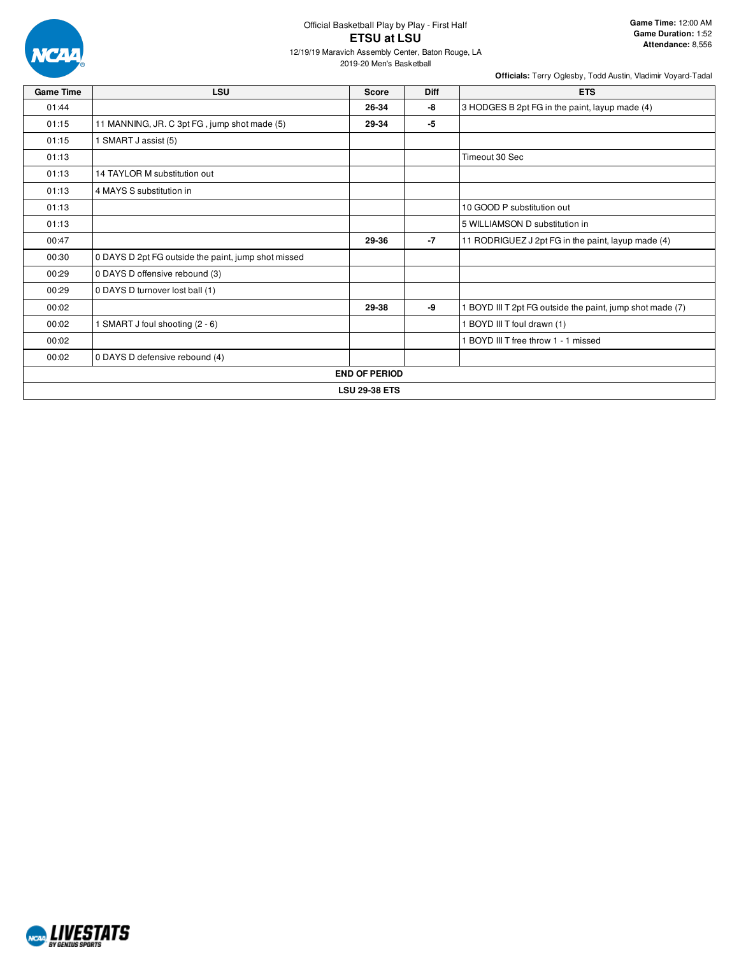

12/19/19 Maravich Assembly Center, Baton Rouge, LA

2019-20 Men's Basketball

| <b>Game Time</b> | LSU                                                 | <b>Score</b>         | <b>Diff</b> | <b>ETS</b>                                              |  |  |  |  |  |
|------------------|-----------------------------------------------------|----------------------|-------------|---------------------------------------------------------|--|--|--|--|--|
| 01:44            |                                                     | 26-34                | -8          | 3 HODGES B 2pt FG in the paint, layup made (4)          |  |  |  |  |  |
| 01:15            | 11 MANNING, JR. C 3pt FG, jump shot made (5)        | 29-34                | -5          |                                                         |  |  |  |  |  |
| 01:15            | 1 SMART J assist (5)                                |                      |             |                                                         |  |  |  |  |  |
| 01:13            |                                                     |                      |             | Timeout 30 Sec                                          |  |  |  |  |  |
| 01:13            | 14 TAYLOR M substitution out                        |                      |             |                                                         |  |  |  |  |  |
| 01:13            | 4 MAYS S substitution in                            |                      |             |                                                         |  |  |  |  |  |
| 01:13            |                                                     |                      |             | 10 GOOD P substitution out                              |  |  |  |  |  |
| 01:13            |                                                     |                      |             | 5 WILLIAMSON D substitution in                          |  |  |  |  |  |
| 00:47            |                                                     | 29-36                | $-7$        | 11 RODRIGUEZ J 2pt FG in the paint, layup made (4)      |  |  |  |  |  |
| 00:30            | 0 DAYS D 2pt FG outside the paint, jump shot missed |                      |             |                                                         |  |  |  |  |  |
| 00:29            | 0 DAYS D offensive rebound (3)                      |                      |             |                                                         |  |  |  |  |  |
| 00:29            | 0 DAYS D turnover lost ball (1)                     |                      |             |                                                         |  |  |  |  |  |
| 00:02            |                                                     | 29-38                | -9          | BOYD III T 2pt FG outside the paint, jump shot made (7) |  |  |  |  |  |
| 00:02            | 1 SMART J foul shooting (2 - 6)                     |                      |             | 1 BOYD III T foul drawn (1)                             |  |  |  |  |  |
| 00:02            |                                                     |                      |             | 1 BOYD III T free throw 1 - 1 missed                    |  |  |  |  |  |
| 00:02            | 0 DAYS D defensive rebound (4)                      |                      |             |                                                         |  |  |  |  |  |
|                  |                                                     | <b>END OF PERIOD</b> |             |                                                         |  |  |  |  |  |
|                  | <b>LSU 29-38 ETS</b>                                |                      |             |                                                         |  |  |  |  |  |

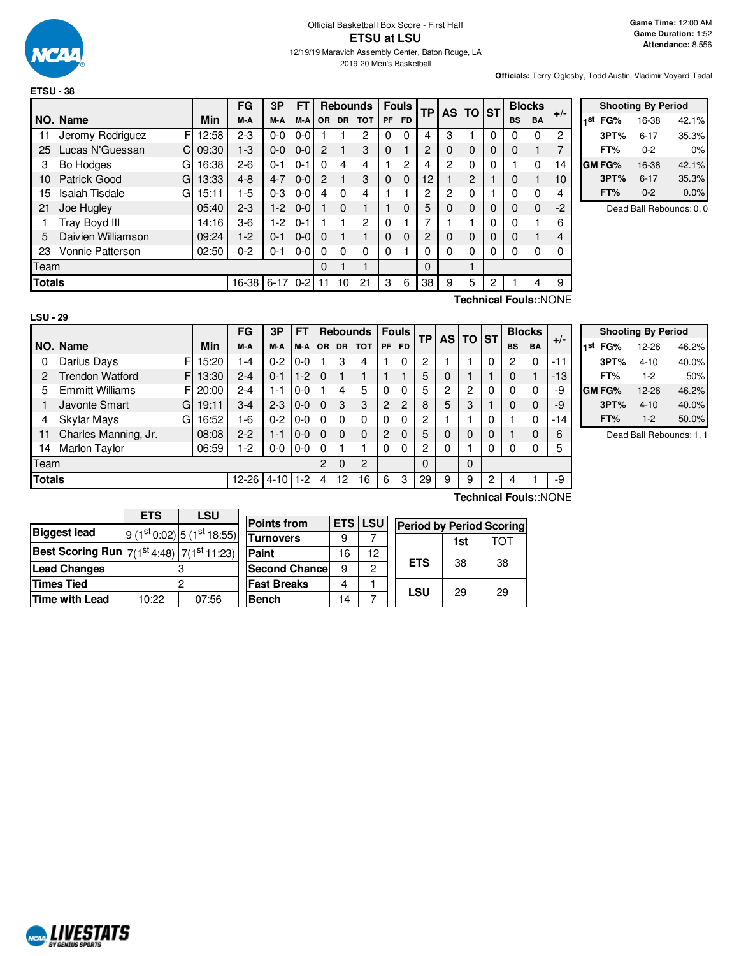

2019-20 Men's Basketball

**Officials:** Terry Oglesby, Todd Austin, Vladimir Voyard-Tadal

|               |                            |       | FG        | 3P       | <b>FT</b> |          |           | <b>Rebounds</b> |           | <b>Fouls</b>   | <b>TP</b> |                |          |          |           |             |      |  | AS TO ST |  |  | <b>Blocks</b> | $+/-$ |
|---------------|----------------------------|-------|-----------|----------|-----------|----------|-----------|-----------------|-----------|----------------|-----------|----------------|----------|----------|-----------|-------------|------|--|----------|--|--|---------------|-------|
|               | NO. Name                   | Min   | M-A       | M-A      | M-A       | OR.      | <b>DR</b> | <b>TOT</b>      | <b>PF</b> | <b>FD</b>      |           |                |          |          | <b>BS</b> | <b>BA</b>   |      |  |          |  |  |               |       |
| 11            | Jeromy Rodriguez<br>F      | 12:58 | $2 - 3$   | $0 - 0$  | $0 - 0$   |          |           | 2               | 0         | $\Omega$       | 4         | 3              |          | 0        | 0         | $\Omega$    | 2    |  |          |  |  |               |       |
| 25            | Lucas N'Guessan<br>C       | 09:30 | $1-3$     | $0 - 0$  | $0-0$     | 2        |           | 3               | $\Omega$  |                | 2         | $\Omega$       |          | 0        | 0         |             | 7    |  |          |  |  |               |       |
| 3             | Bo Hodges<br>G             | 16:38 | $2 - 6$   | $0 - 1$  | $0 - 1$   | 0        | 4         | 4               |           | $\overline{c}$ | 4         | $\overline{2}$ | $\Omega$ | $\Omega$ |           | $\Omega$    | 14   |  |          |  |  |               |       |
| 10            | Patrick Good<br>G          | 13:33 | $4 - 8$   | $4 - 7$  | $0 - 0$   | 2        |           | 3               | 0         | $\Omega$       | 12        |                | 2        |          | 0         |             | 10   |  |          |  |  |               |       |
| 15            | <b>Isaiah Tisdale</b><br>G | 15:11 | 1-5       | $0 - 3$  | $0-0$     | 4        | 0         | 4               |           |                | 2         | 2              |          |          | 0         | $\Omega$    | 4    |  |          |  |  |               |       |
| 21            | Joe Hugley                 | 05:40 | $2 - 3$   | $1-2$    | $0 - 0$   |          | 0         | 1               |           | $\Omega$       | 5         | 0              |          | 0        | $\Omega$  | $\mathbf 0$ | $-2$ |  |          |  |  |               |       |
|               | Tray Boyd III              | 14:16 | $3-6$     | $-2$     | $0 - 1$   |          |           | 2               | 0         |                |           |                |          | 0        | O         |             | 6    |  |          |  |  |               |       |
| 5             | Daivien Williamson         | 09:24 | $1-2$     | $0 - 1$  | $0 - 0$   | $\Omega$ |           | 1               | 0         | $\Omega$       | 2         | $\Omega$       | 0        | $\Omega$ | $\Omega$  |             | 4    |  |          |  |  |               |       |
| 23            | <b>Vonnie Patterson</b>    | 02:50 | $0 - 2$   | $0 - 1$  | $0 - 0$   | $\Omega$ | 0         | $\Omega$        | 0         |                | 0         | 0              |          | 0        | 0         | $\Omega$    |      |  |          |  |  |               |       |
| Team          |                            |       |           |          |           | 0        |           |                 |           |                | $\Omega$  |                |          |          |           |             |      |  |          |  |  |               |       |
| <b>Totals</b> |                            |       | $16 - 38$ | $6 - 17$ | $0 - 2$   | 11       | 10        | 21              | 3         | 6              | 38        | 9              | 5        | 2        |           | 4           | 9    |  |          |  |  |               |       |

|     | <b>Shooting By Period</b> |          |       |  |  |  |  |  |
|-----|---------------------------|----------|-------|--|--|--|--|--|
| 1st | FG%                       | 16-38    | 42.1% |  |  |  |  |  |
|     | 3PT%                      | $6 - 17$ | 35.3% |  |  |  |  |  |
|     | FT%                       | በ-2      | 0%    |  |  |  |  |  |
|     | GM FG%                    | 16-38    | 42.1% |  |  |  |  |  |
|     | 3PT%                      | $6 - 17$ | 35.3% |  |  |  |  |  |
|     | FT%                       | $0 - 2$  | 0.0%  |  |  |  |  |  |

Dead Ball Rebounds: 0, 0

**Technical Fouls:**:NONE

|               |                        |            | FG        | 3P         | FT      |           |           | <b>Rebounds</b> |           | <b>Fouls</b> | <b>TP</b> | <b>AS</b> | <b>TO</b> | <b>ST</b> |           | <b>Blocks</b> | $+/-$ |
|---------------|------------------------|------------|-----------|------------|---------|-----------|-----------|-----------------|-----------|--------------|-----------|-----------|-----------|-----------|-----------|---------------|-------|
|               | NO. Name               | Min        | M-A       | M-A        | M-A     | <b>OR</b> | <b>DR</b> | <b>TOT</b>      | <b>PF</b> | <b>FD</b>    |           |           |           |           | <b>BS</b> | <b>BA</b>     |       |
| 0             | Darius Days            | F<br>15:20 | 1-4       | $0 - 2$    | $0-0$   |           | 3         | 4               |           | 0            | 2         |           |           | 0         | 2         | 0             | $-11$ |
| 2             | <b>Trendon Watford</b> | F<br>13:30 | $2 - 4$   | $0 - 1$    | $1-2$   | $\Omega$  |           |                 |           |              | 5         | 0         |           |           | 0         |               | $-13$ |
| 5.            | <b>Emmitt Williams</b> | 20:00<br>F | $2 - 4$   | $1 - 1$    | $0-0$   |           | 4         | 5               | 0         | $\Omega$     | 5         | 2         | 2         | 0         | 0         | 0             | -9    |
|               | Javonte Smart<br>G     | 19:11      | $3-4$     | $2 - 3$    | $0-0$   | 0         | 3         | 3               | 2         | 2            | 8         | 5         | 3         |           | 0         | 0             | -9    |
| 4             | Skylar Mays<br>G       | 16:52      | 1-6       | $0 - 2$    | $0-0$   | $\Omega$  | $\Omega$  | 0               |           | 0            | 2         |           |           | 0         |           | 0             | $-14$ |
| 11            | Charles Manning, Jr.   | 08:08      | $2 - 2$   | $1 - 1$    | $0 - 0$ | 0         | $\Omega$  | $\mathbf 0$     | 2         | 0            | 5         | 0         | 0         | 0         |           | 0             | 6     |
| 14            | <b>Marlon Taylor</b>   | 06:59      | 1-2       | $0-0$      | $0 - 0$ | 0         |           |                 | $\Omega$  | 0            | 2         | 0         |           | 0         | 0         | n             | 5     |
| Team          |                        |            |           |            |         | 2         | 0         | 2               |           |              | $\Omega$  |           | 0         |           |           |               |       |
| <b>Totals</b> |                        |            | $12 - 26$ | $4-10$ 1-2 |         | 4         | 12        | 16              | 6         | 3            | 29        | 9         | 9         | っ         | 4         |               | -9    |
|               |                        |            |           |            |         |           |           |                 |           |              |           |           |           |           |           |               |       |

|     | <b>Shooting By Period</b> |          |       |  |  |  |  |  |
|-----|---------------------------|----------|-------|--|--|--|--|--|
| 1st | FG%                       | 12-26    | 46.2% |  |  |  |  |  |
|     | 3PT%                      | $4 - 10$ | 40.0% |  |  |  |  |  |
|     | FT%                       | $1-2$    | 50%   |  |  |  |  |  |
|     | GM FG%                    | 12-26    | 46.2% |  |  |  |  |  |
|     | 3PT%                      | $4 - 10$ | 40.0% |  |  |  |  |  |
|     | FT%                       | $1 - 2$  | 50.0% |  |  |  |  |  |

Dead Ball Rebounds: 1, 1

|                                                            | <b>ETS</b> | LSU                               |
|------------------------------------------------------------|------------|-----------------------------------|
| <b>Biggest lead</b>                                        |            | $9(1^{st}0.02)$ 5 $(1^{st}18.55)$ |
| <b>Best Scoring Run</b> $7(1^{st}4:48)$ 7( $1^{st}11:23$ ) |            |                                   |
| Lead Changes                                               |            |                                   |
| <b>Times Tied</b>                                          |            |                                   |
| <b>Time with Lead</b>                                      | 10:22      | 07:56                             |

| <b>Points from</b>   | <b>ETS LSU</b> |    | Perio |
|----------------------|----------------|----|-------|
| <b>Turnovers</b>     | 9              |    |       |
| Paint                | 16             | 12 |       |
| <b>Second Chance</b> | 9              | 2  | F٦    |
| <b>Fast Breaks</b>   | 4              |    | .s    |
| <b>Bench</b>         | 14             |    |       |

**Technical Fouls:**:NONE

| <b>Period by Period Scoring</b> |    |    |  |  |  |  |  |  |
|---------------------------------|----|----|--|--|--|--|--|--|
| TOT<br>1st                      |    |    |  |  |  |  |  |  |
| <b>ETS</b>                      | 38 | 38 |  |  |  |  |  |  |
| LSU                             | 29 | 29 |  |  |  |  |  |  |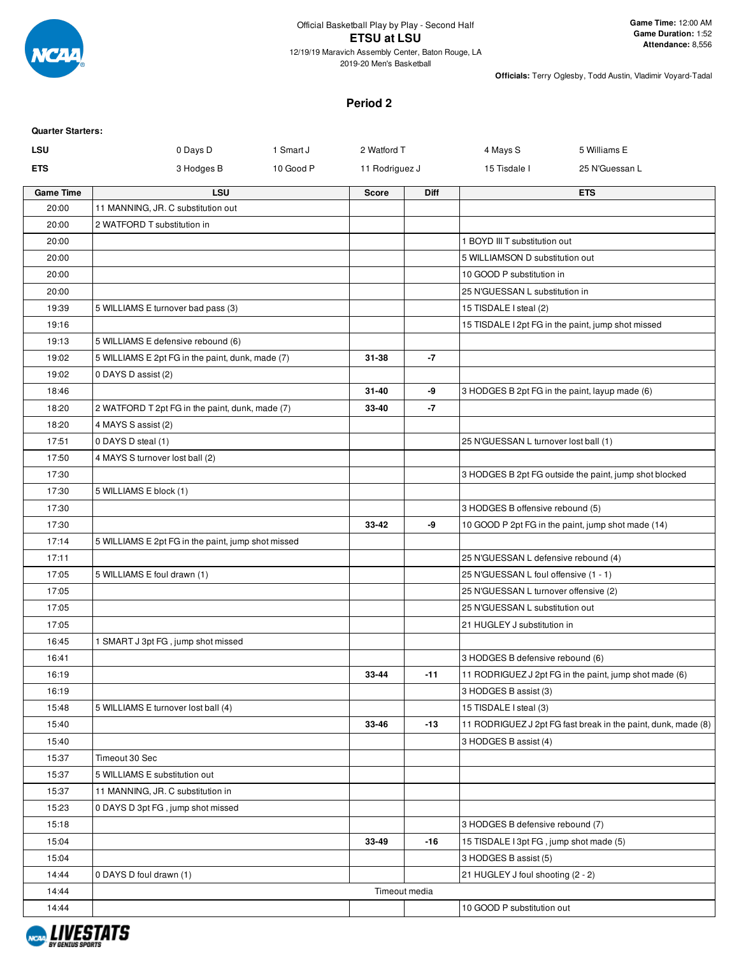

2019-20 Men's Basketball

**Officials:** Terry Oglesby, Todd Austin, Vladimir Voyard-Tadal

### **Period 2**

| <b>Quarter Starters:</b> |                                                    |           |                |               |                                         |                                                               |
|--------------------------|----------------------------------------------------|-----------|----------------|---------------|-----------------------------------------|---------------------------------------------------------------|
| <b>LSU</b>               | 0 Days D                                           | 1 Smart J | 2 Watford T    |               | 4 Mays S                                | 5 Williams E                                                  |
| <b>ETS</b>               | 3 Hodges B                                         | 10 Good P | 11 Rodriguez J |               | 15 Tisdale I                            | 25 N'Guessan L                                                |
| <b>Game Time</b>         | <b>LSU</b>                                         |           | <b>Score</b>   | <b>Diff</b>   |                                         | <b>ETS</b>                                                    |
| 20:00                    | 11 MANNING, JR. C substitution out                 |           |                |               |                                         |                                                               |
| 20:00                    | 2 WATFORD T substitution in                        |           |                |               |                                         |                                                               |
| 20:00                    |                                                    |           |                |               | 1 BOYD III T substitution out           |                                                               |
| 20:00                    |                                                    |           |                |               | 5 WILLIAMSON D substitution out         |                                                               |
| 20:00                    |                                                    |           |                |               | 10 GOOD P substitution in               |                                                               |
| 20:00                    |                                                    |           |                |               | 25 N'GUESSAN L substitution in          |                                                               |
| 19:39                    | 5 WILLIAMS E turnover bad pass (3)                 |           |                |               | 15 TISDALE I steal (2)                  |                                                               |
| 19:16                    |                                                    |           |                |               |                                         | 15 TISDALE I 2pt FG in the paint, jump shot missed            |
| 19:13                    | 5 WILLIAMS E defensive rebound (6)                 |           |                |               |                                         |                                                               |
| 19:02                    | 5 WILLIAMS E 2pt FG in the paint, dunk, made (7)   |           | 31-38          | -7            |                                         |                                                               |
| 19:02<br>18:46           | 0 DAYS D assist (2)                                |           | 31-40          | -9            |                                         |                                                               |
| 18:20                    | 2 WATFORD T 2pt FG in the paint, dunk, made (7)    |           | 33-40          | -7            |                                         | 3 HODGES B 2pt FG in the paint, layup made (6)                |
| 18:20                    | 4 MAYS S assist (2)                                |           |                |               |                                         |                                                               |
| 17:51                    | 0 DAYS D steal (1)                                 |           |                |               | 25 N'GUESSAN L turnover lost ball (1)   |                                                               |
| 17:50                    | 4 MAYS S turnover lost ball (2)                    |           |                |               |                                         |                                                               |
| 17:30                    |                                                    |           |                |               |                                         | 3 HODGES B 2pt FG outside the paint, jump shot blocked        |
| 17:30                    | 5 WILLIAMS E block (1)                             |           |                |               |                                         |                                                               |
| 17:30                    |                                                    |           |                |               | 3 HODGES B offensive rebound (5)        |                                                               |
| 17:30                    |                                                    |           | 33-42          | -9            |                                         | 10 GOOD P 2pt FG in the paint, jump shot made (14)            |
| 17:14                    | 5 WILLIAMS E 2pt FG in the paint, jump shot missed |           |                |               |                                         |                                                               |
| 17:11                    |                                                    |           |                |               | 25 N'GUESSAN L defensive rebound (4)    |                                                               |
| 17:05                    | 5 WILLIAMS E foul drawn (1)                        |           |                |               | 25 N'GUESSAN L foul offensive (1 - 1)   |                                                               |
| 17:05                    |                                                    |           |                |               | 25 N'GUESSAN L turnover offensive (2)   |                                                               |
| 17:05                    |                                                    |           |                |               | 25 N'GUESSAN L substitution out         |                                                               |
| 17:05                    |                                                    |           |                |               | 21 HUGLEY J substitution in             |                                                               |
| 16:45                    | 1 SMART J 3pt FG, jump shot missed                 |           |                |               |                                         |                                                               |
| 16:41                    |                                                    |           |                |               | 3 HODGES B defensive rebound (6)        |                                                               |
| 16:19                    |                                                    |           | 33-44          | $-11$         |                                         | 11 RODRIGUEZ J 2pt FG in the paint, jump shot made (6)        |
| 16:19                    |                                                    |           |                |               | 3 HODGES B assist (3)                   |                                                               |
| 15:48                    | 5 WILLIAMS E turnover lost ball (4)                |           |                |               | 15 TISDALE I steal (3)                  |                                                               |
| 15:40                    |                                                    |           | 33-46          | $-13$         |                                         | 11 RODRIGUEZ J 2pt FG fast break in the paint, dunk, made (8) |
| 15:40                    |                                                    |           |                |               | 3 HODGES B assist (4)                   |                                                               |
| 15:37                    | Timeout 30 Sec                                     |           |                |               |                                         |                                                               |
| 15:37                    | 5 WILLIAMS E substitution out                      |           |                |               |                                         |                                                               |
| 15:37                    | 11 MANNING, JR. C substitution in                  |           |                |               |                                         |                                                               |
| 15:23                    | 0 DAYS D 3pt FG, jump shot missed                  |           |                |               |                                         |                                                               |
| 15:18                    |                                                    |           |                |               | 3 HODGES B defensive rebound (7)        |                                                               |
| 15:04                    |                                                    |           | 33-49          | $-16$         | 15 TISDALE I 3pt FG, jump shot made (5) |                                                               |
| 15:04                    |                                                    |           |                |               | 3 HODGES B assist (5)                   |                                                               |
| 14:44                    | 0 DAYS D foul drawn (1)                            |           |                |               | 21 HUGLEY J foul shooting (2 - 2)       |                                                               |
| 14:44                    |                                                    |           |                | Timeout media |                                         |                                                               |
| 14:44                    |                                                    |           |                |               | 10 GOOD P substitution out              |                                                               |

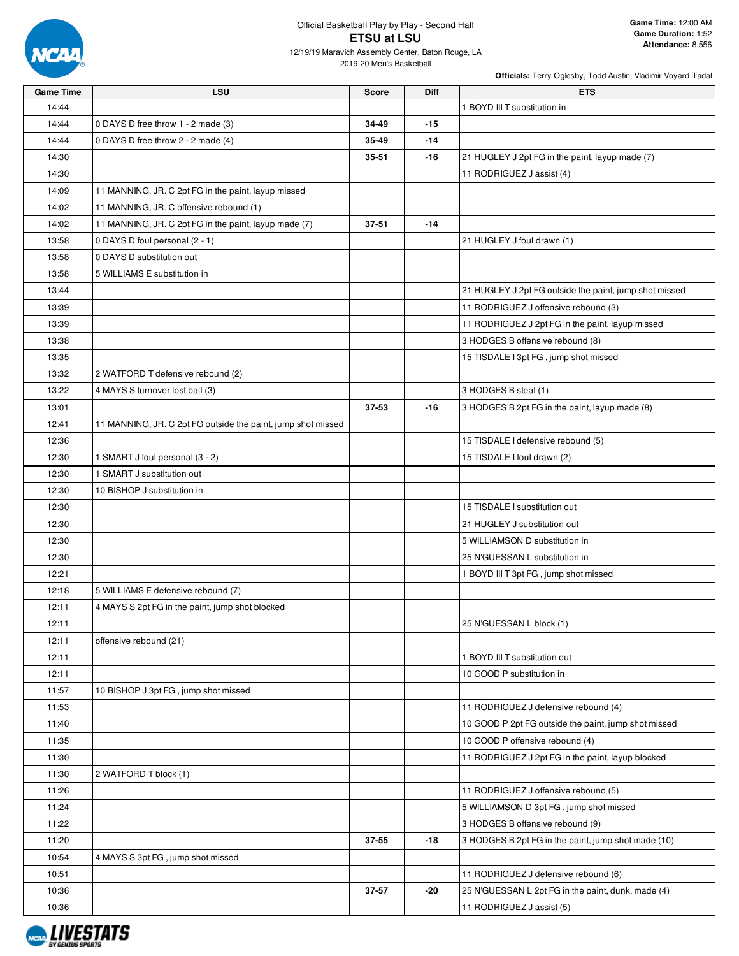

12/19/19 Maravich Assembly Center, Baton Rouge, LA 2019-20 Men's Basketball

| <b>Game Time</b> | <b>LSU</b>                                                   | <b>Score</b> | <b>Diff</b> | <b>ETS</b>                                             |
|------------------|--------------------------------------------------------------|--------------|-------------|--------------------------------------------------------|
| 14:44            |                                                              |              |             | 1 BOYD III T substitution in                           |
| 14:44            | 0 DAYS D free throw 1 - 2 made (3)                           | 34-49        | $-15$       |                                                        |
| 14:44            | 0 DAYS D free throw 2 - 2 made (4)                           | 35-49        | -14         |                                                        |
| 14:30            |                                                              | 35-51        | $-16$       | 21 HUGLEY J 2pt FG in the paint, layup made (7)        |
| 14:30            |                                                              |              |             | 11 RODRIGUEZ J assist (4)                              |
| 14:09            | 11 MANNING, JR. C 2pt FG in the paint, layup missed          |              |             |                                                        |
| 14:02            | 11 MANNING, JR. C offensive rebound (1)                      |              |             |                                                        |
| 14:02            | 11 MANNING, JR. C 2pt FG in the paint, layup made (7)        | $37 - 51$    | $-14$       |                                                        |
| 13:58            | 0 DAYS D foul personal (2 - 1)                               |              |             | 21 HUGLEY J foul drawn (1)                             |
| 13:58            | 0 DAYS D substitution out                                    |              |             |                                                        |
| 13:58            | 5 WILLIAMS E substitution in                                 |              |             |                                                        |
| 13:44            |                                                              |              |             | 21 HUGLEY J 2pt FG outside the paint, jump shot missed |
| 13:39            |                                                              |              |             | 11 RODRIGUEZ J offensive rebound (3)                   |
| 13:39            |                                                              |              |             | 11 RODRIGUEZ J 2pt FG in the paint, layup missed       |
| 13:38            |                                                              |              |             | 3 HODGES B offensive rebound (8)                       |
| 13:35            |                                                              |              |             | 15 TISDALE I 3pt FG, jump shot missed                  |
| 13:32            | 2 WATFORD T defensive rebound (2)                            |              |             |                                                        |
| 13:22            | 4 MAYS S turnover lost ball (3)                              |              |             | 3 HODGES B steal (1)                                   |
| 13:01            |                                                              | 37-53        | -16         | 3 HODGES B 2pt FG in the paint, layup made (8)         |
| 12:41            | 11 MANNING, JR. C 2pt FG outside the paint, jump shot missed |              |             |                                                        |
| 12:36            |                                                              |              |             | 15 TISDALE I defensive rebound (5)                     |
| 12:30            | 1 SMART J foul personal (3 - 2)                              |              |             | 15 TISDALE I foul drawn (2)                            |
| 12:30            | 1 SMART J substitution out                                   |              |             |                                                        |
| 12:30            | 10 BISHOP J substitution in                                  |              |             |                                                        |
| 12:30            |                                                              |              |             | 15 TISDALE I substitution out                          |
| 12:30            |                                                              |              |             | 21 HUGLEY J substitution out                           |
| 12:30            |                                                              |              |             | 5 WILLIAMSON D substitution in                         |
| 12:30            |                                                              |              |             | 25 N'GUESSAN L substitution in                         |
| 12:21            |                                                              |              |             | 1 BOYD III T 3pt FG, jump shot missed                  |
| 12:18            | 5 WILLIAMS E defensive rebound (7)                           |              |             |                                                        |
| 12:11            | 4 MAYS S 2pt FG in the paint, jump shot blocked              |              |             |                                                        |
| 12:11            |                                                              |              |             | 25 N'GUESSAN L block (1)                               |
| 12:11            | offensive rebound (21)                                       |              |             |                                                        |
| 12:11            |                                                              |              |             | 1 BOYD III T substitution out                          |
| 12:11            |                                                              |              |             | 10 GOOD P substitution in                              |
| 11:57            | 10 BISHOP J 3pt FG, jump shot missed                         |              |             |                                                        |
| 11:53            |                                                              |              |             | 11 RODRIGUEZ J defensive rebound (4)                   |
| 11:40            |                                                              |              |             | 10 GOOD P 2pt FG outside the paint, jump shot missed   |
| 11:35            |                                                              |              |             | 10 GOOD P offensive rebound (4)                        |
| 11:30            |                                                              |              |             | 11 RODRIGUEZ J 2pt FG in the paint, layup blocked      |
| 11:30            | 2 WATFORD T block (1)                                        |              |             |                                                        |
| 11:26            |                                                              |              |             | 11 RODRIGUEZ J offensive rebound (5)                   |
| 11:24            |                                                              |              |             | 5 WILLIAMSON D 3pt FG, jump shot missed                |
| 11:22            |                                                              |              |             | 3 HODGES B offensive rebound (9)                       |
| 11:20            |                                                              | 37-55        | -18         | 3 HODGES B 2pt FG in the paint, jump shot made (10)    |
| 10:54            | 4 MAYS S 3pt FG, jump shot missed                            |              |             |                                                        |
| 10:51            |                                                              |              |             | 11 RODRIGUEZ J defensive rebound (6)                   |
| 10:36            |                                                              | 37-57        | -20         | 25 N'GUESSAN L 2pt FG in the paint, dunk, made (4)     |
| 10:36            |                                                              |              |             | 11 RODRIGUEZ J assist (5)                              |
|                  |                                                              |              |             |                                                        |

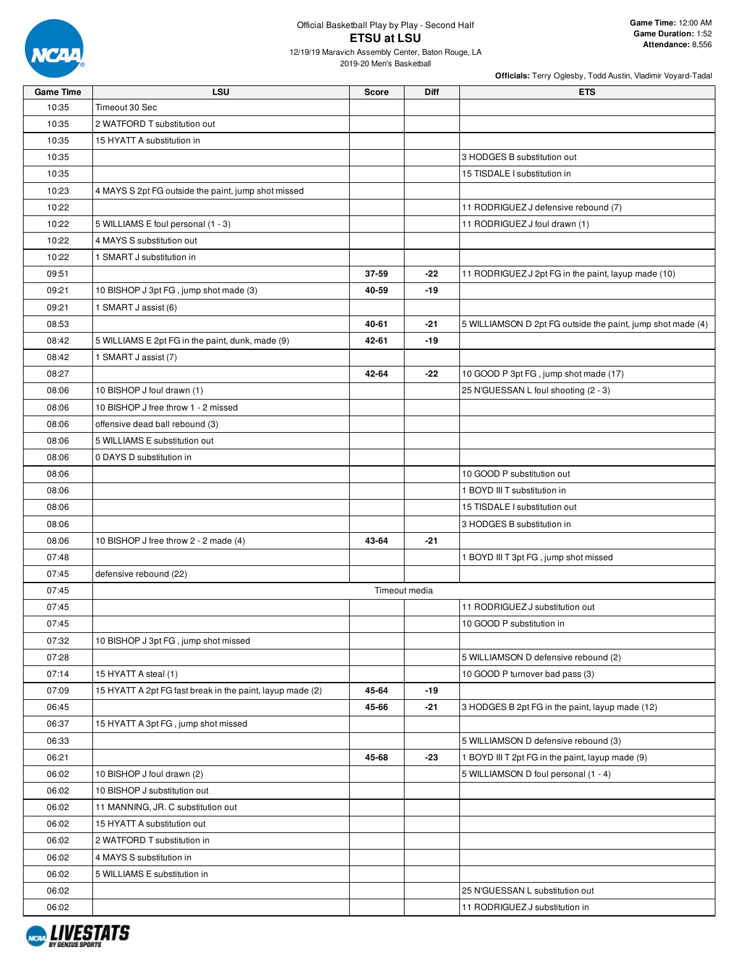

12/19/19 Maravich Assembly Center, Baton Rouge, LA 2019-20 Men's Basketball

| <b>Game Time</b> | <b>LSU</b>                                                | <b>Score</b> | <b>Diff</b>   | <b>ETS</b>                                                  |
|------------------|-----------------------------------------------------------|--------------|---------------|-------------------------------------------------------------|
| 10:35            | Timeout 30 Sec                                            |              |               |                                                             |
| 10:35            | 2 WATFORD T substitution out                              |              |               |                                                             |
| 10:35            | 15 HYATT A substitution in                                |              |               |                                                             |
| 10:35            |                                                           |              |               | 3 HODGES B substitution out                                 |
| 10:35            |                                                           |              |               | 15 TISDALE I substitution in                                |
| 10:23            | 4 MAYS S 2pt FG outside the paint, jump shot missed       |              |               |                                                             |
| 10:22            |                                                           |              |               | 11 RODRIGUEZ J defensive rebound (7)                        |
| 10:22            | 5 WILLIAMS E foul personal (1 - 3)                        |              |               | 11 RODRIGUEZ J foul drawn (1)                               |
| 10:22            | 4 MAYS S substitution out                                 |              |               |                                                             |
| 10:22            | 1 SMART J substitution in                                 |              |               |                                                             |
| 09:51            |                                                           | 37-59        | $-22$         | 11 RODRIGUEZ J 2pt FG in the paint, layup made (10)         |
| 09:21            | 10 BISHOP J 3pt FG, jump shot made (3)                    | 40-59        | -19           |                                                             |
| 09:21            | 1 SMART J assist (6)                                      |              |               |                                                             |
| 08:53            |                                                           | 40-61        | -21           | 5 WILLIAMSON D 2pt FG outside the paint, jump shot made (4) |
| 08:42            | 5 WILLIAMS E 2pt FG in the paint, dunk, made (9)          | 42-61        | -19           |                                                             |
| 08:42            | 1 SMART J assist (7)                                      |              |               |                                                             |
| 08:27            |                                                           | 42-64        | -22           | 10 GOOD P 3pt FG, jump shot made (17)                       |
| 08:06            | 10 BISHOP J foul drawn (1)                                |              |               | 25 N'GUESSAN L foul shooting (2 - 3)                        |
| 08:06            | 10 BISHOP J free throw 1 - 2 missed                       |              |               |                                                             |
| 08:06            | offensive dead ball rebound (3)                           |              |               |                                                             |
| 08:06            | 5 WILLIAMS E substitution out                             |              |               |                                                             |
| 08:06            | 0 DAYS D substitution in                                  |              |               |                                                             |
| 08:06            |                                                           |              |               | 10 GOOD P substitution out                                  |
| 08:06            |                                                           |              |               | 1 BOYD III T substitution in                                |
| 08:06            |                                                           |              |               | 15 TISDALE I substitution out                               |
| 08:06            |                                                           |              |               | 3 HODGES B substitution in                                  |
| 08:06            | 10 BISHOP J free throw 2 - 2 made (4)                     | 43-64        | -21           |                                                             |
| 07:48            |                                                           |              |               | 1 BOYD III T 3pt FG, jump shot missed                       |
| 07:45            | defensive rebound (22)                                    |              |               |                                                             |
| 07:45            |                                                           |              | Timeout media |                                                             |
| 07:45            |                                                           |              |               | 11 RODRIGUEZ J substitution out                             |
| 07:45            |                                                           |              |               | 10 GOOD P substitution in                                   |
| 07:32            | 10 BISHOP J 3pt FG, jump shot missed                      |              |               |                                                             |
| 07:28            |                                                           |              |               | 5 WILLIAMSON D defensive rebound (2)                        |
| 07:14            | 15 HYATT A steal (1)                                      |              |               | 10 GOOD P turnover bad pass (3)                             |
| 07:09            | 15 HYATT A 2pt FG fast break in the paint, layup made (2) | 45-64        | -19           |                                                             |
| 06:45            |                                                           | 45-66        | -21           | 3 HODGES B 2pt FG in the paint, layup made (12)             |
| 06:37            | 15 HYATT A 3pt FG, jump shot missed                       |              |               |                                                             |
| 06:33            |                                                           |              |               | 5 WILLIAMSON D defensive rebound (3)                        |
| 06:21            |                                                           | 45-68        | -23           | 1 BOYD III T 2pt FG in the paint, layup made (9)            |
| 06:02            | 10 BISHOP J foul drawn (2)                                |              |               | 5 WILLIAMSON D foul personal (1 - 4)                        |
| 06:02            | 10 BISHOP J substitution out                              |              |               |                                                             |
| 06:02            | 11 MANNING, JR. C substitution out                        |              |               |                                                             |
| 06:02            | 15 HYATT A substitution out                               |              |               |                                                             |
| 06:02            | 2 WATFORD T substitution in                               |              |               |                                                             |
| 06:02            | 4 MAYS S substitution in                                  |              |               |                                                             |
| 06:02            | 5 WILLIAMS E substitution in                              |              |               |                                                             |
| 06:02            |                                                           |              |               | 25 N'GUESSAN L substitution out                             |
| 06:02            |                                                           |              |               | 11 RODRIGUEZ J substitution in                              |

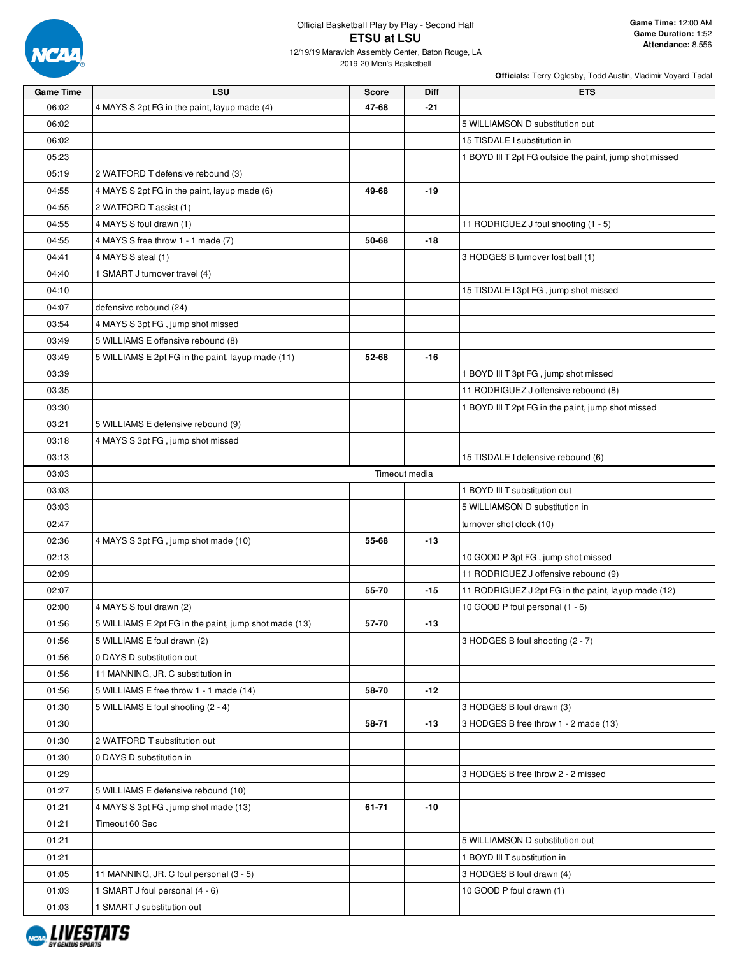

12/19/19 Maravich Assembly Center, Baton Rouge, LA 2019-20 Men's Basketball

| <b>Game Time</b> | <b>LSU</b>                                            | <b>Score</b>  | Diff  | <b>ETS</b>                                              |
|------------------|-------------------------------------------------------|---------------|-------|---------------------------------------------------------|
| 06:02            | 4 MAYS S 2pt FG in the paint, layup made (4)          | 47-68         | -21   |                                                         |
| 06:02            |                                                       |               |       | 5 WILLIAMSON D substitution out                         |
| 06:02            |                                                       |               |       | 15 TISDALE I substitution in                            |
| 05:23            |                                                       |               |       | 1 BOYD III T 2pt FG outside the paint, jump shot missed |
| 05:19            | 2 WATFORD T defensive rebound (3)                     |               |       |                                                         |
| 04:55            | 4 MAYS S 2pt FG in the paint, layup made (6)          | 49-68         | $-19$ |                                                         |
| 04:55            | 2 WATFORD T assist (1)                                |               |       |                                                         |
| 04:55            | 4 MAYS S foul drawn (1)                               |               |       | 11 RODRIGUEZ J foul shooting (1 - 5)                    |
| 04:55            | 4 MAYS S free throw 1 - 1 made (7)                    | 50-68         | $-18$ |                                                         |
| 04:41            | 4 MAYS S steal (1)                                    |               |       | 3 HODGES B turnover lost ball (1)                       |
| 04:40            | 1 SMART J turnover travel (4)                         |               |       |                                                         |
| 04:10            |                                                       |               |       | 15 TISDALE I 3pt FG, jump shot missed                   |
| 04:07            | defensive rebound (24)                                |               |       |                                                         |
| 03:54            | 4 MAYS S 3pt FG, jump shot missed                     |               |       |                                                         |
| 03:49            | 5 WILLIAMS E offensive rebound (8)                    |               |       |                                                         |
| 03:49            | 5 WILLIAMS E 2pt FG in the paint, layup made (11)     | 52-68         | $-16$ |                                                         |
| 03:39            |                                                       |               |       | 1 BOYD III T 3pt FG, jump shot missed                   |
| 03:35            |                                                       |               |       | 11 RODRIGUEZ J offensive rebound (8)                    |
| 03:30            |                                                       |               |       | 1 BOYD III T 2pt FG in the paint, jump shot missed      |
| 03:21            | 5 WILLIAMS E defensive rebound (9)                    |               |       |                                                         |
| 03:18            | 4 MAYS S 3pt FG, jump shot missed                     |               |       |                                                         |
| 03:13            |                                                       |               |       | 15 TISDALE I defensive rebound (6)                      |
| 03:03            |                                                       | Timeout media |       |                                                         |
| 03:03            |                                                       |               |       | 1 BOYD III T substitution out                           |
| 03:03            |                                                       |               |       | 5 WILLIAMSON D substitution in                          |
| 02:47            |                                                       |               |       | turnover shot clock (10)                                |
| 02:36            | 4 MAYS S 3pt FG, jump shot made (10)                  | 55-68         | $-13$ |                                                         |
| 02:13            |                                                       |               |       | 10 GOOD P 3pt FG, jump shot missed                      |
| 02:09            |                                                       |               |       | 11 RODRIGUEZ J offensive rebound (9)                    |
| 02:07            |                                                       | 55-70         | $-15$ | 11 RODRIGUEZ J 2pt FG in the paint, layup made (12)     |
| 02:00            | 4 MAYS S foul drawn (2)                               |               |       | 10 GOOD P foul personal (1 - 6)                         |
| 01:56            | 5 WILLIAMS E 2pt FG in the paint, jump shot made (13) | 57-70         | -13   |                                                         |
| 01:56            | 5 WILLIAMS E foul drawn (2)                           |               |       | 3 HODGES B foul shooting (2 - 7)                        |
| 01:56            | 0 DAYS D substitution out                             |               |       |                                                         |
| 01:56            | 11 MANNING, JR. C substitution in                     |               |       |                                                         |
| 01:56            | 5 WILLIAMS E free throw 1 - 1 made (14)               | 58-70         | $-12$ |                                                         |
| 01:30            | 5 WILLIAMS E foul shooting (2 - 4)                    |               |       | 3 HODGES B foul drawn (3)                               |
| 01:30            |                                                       | 58-71         | $-13$ | 3 HODGES B free throw 1 - 2 made (13)                   |
| 01:30            | 2 WATFORD T substitution out                          |               |       |                                                         |
| 01:30            | 0 DAYS D substitution in                              |               |       |                                                         |
| 01:29            |                                                       |               |       | 3 HODGES B free throw 2 - 2 missed                      |
| 01:27            | 5 WILLIAMS E defensive rebound (10)                   |               |       |                                                         |
| 01:21            | 4 MAYS S 3pt FG, jump shot made (13)                  | 61-71         | $-10$ |                                                         |
| 01:21            | Timeout 60 Sec                                        |               |       |                                                         |
| 01:21            |                                                       |               |       | 5 WILLIAMSON D substitution out                         |
| 01:21            |                                                       |               |       | 1 BOYD III T substitution in                            |
| 01:05            | 11 MANNING, JR. C foul personal (3 - 5)               |               |       | 3 HODGES B foul drawn (4)                               |
| 01:03            | 1 SMART J foul personal (4 - 6)                       |               |       | 10 GOOD P foul drawn (1)                                |
| 01:03            | 1 SMART J substitution out                            |               |       |                                                         |

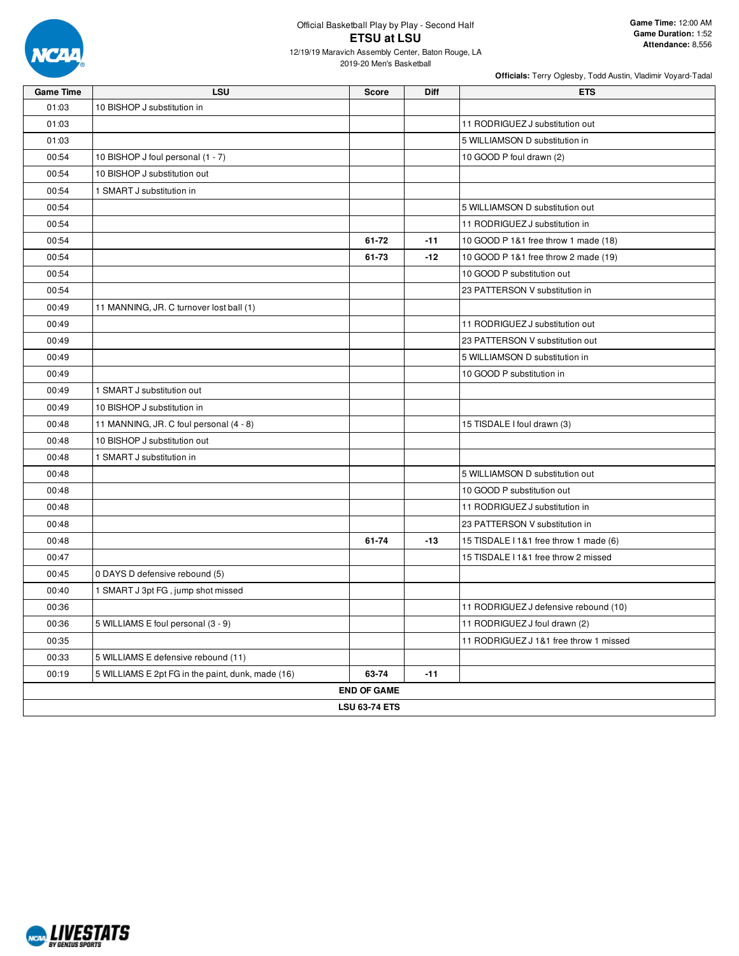

12/19/19 Maravich Assembly Center, Baton Rouge, LA 2019-20 Men's Basketball

| <b>Game Time</b> | LSU                                               | <b>Score</b>       | Diff  | <b>ETS</b>                             |  |  |  |  |  |
|------------------|---------------------------------------------------|--------------------|-------|----------------------------------------|--|--|--|--|--|
| 01:03            | 10 BISHOP J substitution in                       |                    |       |                                        |  |  |  |  |  |
| 01:03            |                                                   |                    |       | 11 RODRIGUEZ J substitution out        |  |  |  |  |  |
| 01:03            |                                                   |                    |       | 5 WILLIAMSON D substitution in         |  |  |  |  |  |
| 00:54            | 10 BISHOP J foul personal (1 - 7)                 |                    |       | 10 GOOD P foul drawn (2)               |  |  |  |  |  |
| 00:54            | 10 BISHOP J substitution out                      |                    |       |                                        |  |  |  |  |  |
| 00:54            | 1 SMART J substitution in                         |                    |       |                                        |  |  |  |  |  |
| 00:54            |                                                   |                    |       | 5 WILLIAMSON D substitution out        |  |  |  |  |  |
| 00:54            |                                                   |                    |       | 11 RODRIGUEZ J substitution in         |  |  |  |  |  |
| 00:54            |                                                   | 61-72              | $-11$ | 10 GOOD P 1&1 free throw 1 made (18)   |  |  |  |  |  |
| 00:54            |                                                   | 61-73              | $-12$ | 10 GOOD P 1&1 free throw 2 made (19)   |  |  |  |  |  |
| 00:54            |                                                   |                    |       | 10 GOOD P substitution out             |  |  |  |  |  |
| 00:54            |                                                   |                    |       | 23 PATTERSON V substitution in         |  |  |  |  |  |
| 00:49            | 11 MANNING, JR. C turnover lost ball (1)          |                    |       |                                        |  |  |  |  |  |
| 00:49            |                                                   |                    |       | 11 RODRIGUEZ J substitution out        |  |  |  |  |  |
| 00:49            |                                                   |                    |       | 23 PATTERSON V substitution out        |  |  |  |  |  |
| 00:49            |                                                   |                    |       | 5 WILLIAMSON D substitution in         |  |  |  |  |  |
| 00:49            |                                                   |                    |       | 10 GOOD P substitution in              |  |  |  |  |  |
| 00:49            | 1 SMART J substitution out                        |                    |       |                                        |  |  |  |  |  |
| 00:49            | 10 BISHOP J substitution in                       |                    |       |                                        |  |  |  |  |  |
| 00:48            | 11 MANNING, JR. C foul personal (4 - 8)           |                    |       | 15 TISDALE I foul drawn (3)            |  |  |  |  |  |
| 00:48            | 10 BISHOP J substitution out                      |                    |       |                                        |  |  |  |  |  |
| 00:48            | 1 SMART J substitution in                         |                    |       |                                        |  |  |  |  |  |
| 00:48            |                                                   |                    |       | 5 WILLIAMSON D substitution out        |  |  |  |  |  |
| 00:48            |                                                   |                    |       | 10 GOOD P substitution out             |  |  |  |  |  |
| 00:48            |                                                   |                    |       | 11 RODRIGUEZ J substitution in         |  |  |  |  |  |
| 00:48            |                                                   |                    |       | 23 PATTERSON V substitution in         |  |  |  |  |  |
| 00:48            |                                                   | 61-74              | $-13$ | 15 TISDALE I 1&1 free throw 1 made (6) |  |  |  |  |  |
| 00:47            |                                                   |                    |       | 15 TISDALE I 1&1 free throw 2 missed   |  |  |  |  |  |
| 00:45            | 0 DAYS D defensive rebound (5)                    |                    |       |                                        |  |  |  |  |  |
| 00:40            | 1 SMART J 3pt FG, jump shot missed                |                    |       |                                        |  |  |  |  |  |
| 00:36            |                                                   |                    |       | 11 RODRIGUEZ J defensive rebound (10)  |  |  |  |  |  |
| 00:36            | 5 WILLIAMS E foul personal (3 - 9)                |                    |       | 11 RODRIGUEZ J foul drawn (2)          |  |  |  |  |  |
| 00:35            |                                                   |                    |       | 11 RODRIGUEZ J 1&1 free throw 1 missed |  |  |  |  |  |
| 00:33            | 5 WILLIAMS E defensive rebound (11)               |                    |       |                                        |  |  |  |  |  |
| 00:19            | 5 WILLIAMS E 2pt FG in the paint, dunk, made (16) | 63-74              | $-11$ |                                        |  |  |  |  |  |
|                  |                                                   | <b>END OF GAME</b> |       |                                        |  |  |  |  |  |
|                  | <b>LSU 63-74 ETS</b>                              |                    |       |                                        |  |  |  |  |  |

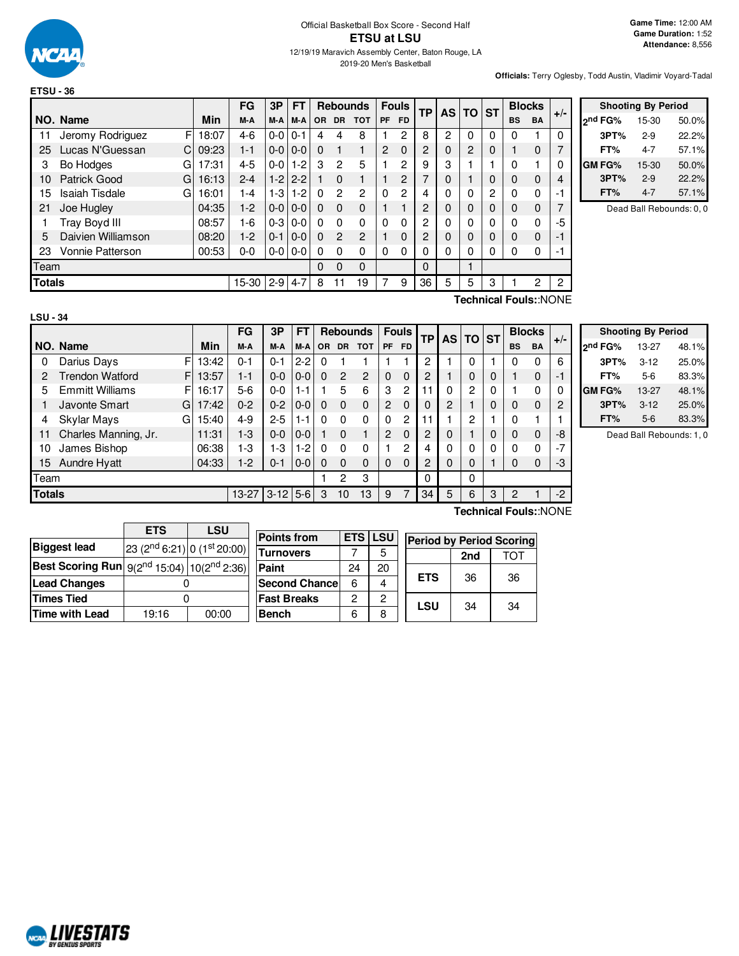

2019-20 Men's Basketball

**Game Time:** 12:00 AM **Game Duration:** 1:52 **Attendance:** 8,556

**Officials:** Terry Oglesby, Todd Austin, Vladimir Voyard-Tadal

|               |                            |       | FG      | 3P      | <b>FT</b> |          |                | <b>Rebounds</b> |          | <b>Fouls</b>   |               | <b>TP</b> |   |   | <b>AS TO</b> | <b>ST</b>   |                | <b>Blocks</b> | $+/-$ |
|---------------|----------------------------|-------|---------|---------|-----------|----------|----------------|-----------------|----------|----------------|---------------|-----------|---|---|--------------|-------------|----------------|---------------|-------|
|               | NO. Name                   | Min   | M-A     | M-A     | M-A       | OR.      | <b>DR</b>      | <b>TOT</b>      | PF       | <b>FD</b>      |               |           |   |   | <b>BS</b>    | <b>BA</b>   |                |               |       |
| 11            | F<br>Jeromy Rodriguez      | 18:07 | $4-6$   | $0-0$   | $0 - 1$   | 4        | 4              | 8               |          | 2              | 8             | 2         | 0 | 0 | 0            |             | $\Omega$       |               |       |
| 25            | Lucas N'Guessan<br>C.      | 09:23 | $1 - 1$ | $0-0$   | $0 - 0$   | $\Omega$ |                | 1               | 2        | $\Omega$       | 2             | 0         | 2 | 0 |              | $\Omega$    | 7              |               |       |
| 3             | Bo Hodges<br>G             | 17:31 | $4 - 5$ | $0-0$   | $1 - 2$   | 3        | 2              | 5               |          | 2              | 9             | 3         |   |   | 0            |             | 0              |               |       |
| 10            | Patrick Good<br>G          | 16:13 | $2 - 4$ | $1-2$   | $2 - 2$   |          | $\Omega$       | 1               |          | 2              |               | 0         |   | 0 | 0            | $\mathbf 0$ | 4              |               |       |
| 15            | <b>Isaiah Tisdale</b><br>G | 16:01 | 1-4     | 1-3     | $-2$      | 0        | 2              | $\overline{2}$  | $\Omega$ | $\overline{2}$ | 4             | 0         | U | 2 | 0            | 0           | -1             |               |       |
| 21            | Joe Hugley                 | 04:35 | $1-2$   | $0-0$   | $0 - 0$   | $\Omega$ | $\Omega$       | $\Omega$        |          |                | 2             | 0         | 0 | 0 | 0            | $\mathbf 0$ | 7              |               |       |
|               | Tray Boyd III              | 08:57 | 1-6     | $0-3$   | $0 - 0$   | $\Omega$ | $\Omega$       | $\Omega$        | 0        | $\Omega$       | $\mathcal{P}$ | 0         |   | 0 | 0            | 0           | -5             |               |       |
| 5             | Daivien Williamson         | 08:20 | $1-2$   | $0 - 1$ | $0 - 0$   | $\Omega$ | $\overline{2}$ | $\overline{c}$  |          | $\mathbf{0}$   | 2             | 0         | 0 | 0 | 0            | $\mathbf 0$ | $-1$           |               |       |
| 23            | Vonnie Patterson           | 00:53 | $0 - 0$ | $0-0$   | $0-0$     | 0        | $\Omega$       | 0               | 0        | $\Omega$       |               | 0         | 0 | 0 | 0            | 0           | -1             |               |       |
| Team          |                            |       |         |         |           | $\Omega$ | $\Omega$       | 0               |          |                | $\Omega$      |           |   |   |              |             |                |               |       |
| <b>Totals</b> |                            |       | 15-30   | $2 - 9$ | $4 - 7$   | 8        | 11             | 19              |          | 9              | 36            | 5         | 5 | 3 |              | 2           | $\overline{c}$ |               |       |

| <b>Shooting By Period</b> |         |       |  |  |  |  |  |
|---------------------------|---------|-------|--|--|--|--|--|
| ond FG%                   | 15-30   | 50.0% |  |  |  |  |  |
| 3PT%                      | $2-9$   | 22.2% |  |  |  |  |  |
| FT%                       | 4-7     | 57.1% |  |  |  |  |  |
| GM FG%                    | $15-30$ | 50.0% |  |  |  |  |  |
| 3PT%                      | $2-9$   | 22.2% |  |  |  |  |  |
| FT%                       | $4 - 7$ | 57.1% |  |  |  |  |  |

Dead Ball Rebounds: 0, 0

| LSU - 34 |  |
|----------|--|

**Technical Fouls:**:NONE

|               |                              |       | FG      | 3P       | FТ      |           |                | <b>Rebounds</b> |             | <b>Fouls</b>   | TP             |             | AS I     |             | <b>TO ST</b> |             | <b>Blocks</b> | $+/-$ |
|---------------|------------------------------|-------|---------|----------|---------|-----------|----------------|-----------------|-------------|----------------|----------------|-------------|----------|-------------|--------------|-------------|---------------|-------|
|               | NO. Name                     | Min   | M-A     | M-A      | M-A     | <b>OR</b> | <b>DR</b>      | <b>TOT</b>      | <b>PF</b>   | <b>FD</b>      |                |             |          |             | <b>BS</b>    | <b>BA</b>   |               |       |
| 0             | F<br>Darius Days             | 13:42 | $0 - 1$ | $0 - 1$  | $2 - 2$ | 0         |                |                 |             |                | 2              |             | 0        |             | 0            | 0           | 6             |       |
| 2             | <b>Trendon Watford</b><br>FI | 13:57 | $1 - 1$ | $0-0$    | $0-0$   | $\Omega$  | $\overline{2}$ | $\overline{2}$  | $\mathbf 0$ | $\Omega$       | 2              |             | $\Omega$ | $\mathbf 0$ |              | 0           | -1            |       |
| 5             | <b>Emmitt Williams</b><br>F  | 16:17 | $5-6$   | $0 - 0$  | 1-1     |           | 5              | 6               | 3           | $\overline{c}$ | 11             | 0           | 2        | 0           |              | $\mathbf 0$ | $\Omega$      |       |
|               | Javonte Smart<br>G.          | 17:42 | $0 - 2$ | $0 - 2$  | $0-0$   | $\Omega$  | $\Omega$       | $\Omega$        | 2           | $\Omega$       | 0              | 2           |          | 0           | 0            | 0           | 2             |       |
| 4             | Skylar Mays<br>G             | 15:40 | $4 - 9$ | $2 - 5$  | $1 - 1$ | $\Omega$  | 0              | $\Omega$        | $\Omega$    | $\overline{c}$ | 11             |             | 2        | 1           | 0            |             |               |       |
| 11            | Charles Manning, Jr.         | 11:31 | $1-3$   | $0 - 0$  | $0-0$   |           | $\Omega$       |                 | 2           | $\Omega$       | 2              | 0           |          | 0           | 0            | $\mathbf 0$ | -8            |       |
| 10            | James Bishop                 | 06:38 | 1-3     | 1-3      | $1-2$   | $\Omega$  | 0              | $\Omega$        |             | $\mathbf{2}$   | 4              | 0           | 0        | $\Omega$    | 0            | $\Omega$    | $-7$          |       |
| 15            | <b>Aundre Hyatt</b>          | 04:33 | $1-2$   | $0 - 1$  | $0-0$   | $\Omega$  | $\Omega$       | $\Omega$        | $\Omega$    | $\mathbf 0$    | $\overline{2}$ | $\mathbf 0$ | $\Omega$ |             | 0            | 0           | -3            |       |
| Team          |                              |       |         |          |         |           | $\overline{2}$ | 3               |             |                | 0              |             | $\Omega$ |             |              |             |               |       |
| <b>Totals</b> |                              |       | $13-27$ | $3 - 12$ | $5-6$   | 3         | 10             | 13              | 9           | 7              | 34             | 5           | 6        | 3           | 2            |             | $-2$          |       |
|               |                              |       |         |          |         |           |                |                 |             |                |                |             |          |             |              |             | .             |       |

|                     | <b>Shooting By Period</b> |       |
|---------------------|---------------------------|-------|
| 2 <sup>nd</sup> FG% | 13-27                     | 48.1% |
| 3PT%                | $3 - 12$                  | 25.0% |
| FT%                 | 5-6                       | 83.3% |
| <b>GM FG%</b>       | 13-27                     | 48.1% |
| 3PT%                | $3 - 12$                  | 25.0% |
| FT%                 | $5-6$                     | 83.3% |

Dead Ball Rebounds: 1, 0

|                                                                  | <b>ETS</b>                              | <b>LSU</b> |                      |            |            |
|------------------------------------------------------------------|-----------------------------------------|------------|----------------------|------------|------------|
|                                                                  |                                         |            | <b>Points from</b>   | <b>ETS</b> | <b>LSU</b> |
| <b>Biggest lead</b>                                              | 23 (2 <sup>nd</sup> 6:21) 0 (1st 20:00) |            | <b>Turnovers</b>     |            |            |
|                                                                  |                                         |            |                      |            | 5          |
| Best Scoring Run $ 9(2^{\text{nd}}15:04) 10(2^{\text{nd}}2:36) $ |                                         |            | Paint                | 24         | 20         |
| <b>Lead Changes</b>                                              |                                         |            | <b>Second Chance</b> | 6          | 4          |
| <b>Times Tied</b>                                                |                                         |            | <b>Fast Breaks</b>   | 2          | 2          |
| Time with Lead                                                   | 19:16                                   | 00:00      | <b>Bench</b>         | 6          | 8          |
|                                                                  |                                         |            |                      |            |            |

**Technical Fouls:**:NONE

| LSU     |            | <b>Period by Period Scoring</b> |     |  |  |  |  |  |  |  |
|---------|------------|---------------------------------|-----|--|--|--|--|--|--|--|
| 5       |            | 2nd                             | TOT |  |  |  |  |  |  |  |
| 20<br>4 | <b>ETS</b> | 36                              | 36  |  |  |  |  |  |  |  |
| 2       | LSU        | 34                              | 34  |  |  |  |  |  |  |  |
| R       |            |                                 |     |  |  |  |  |  |  |  |

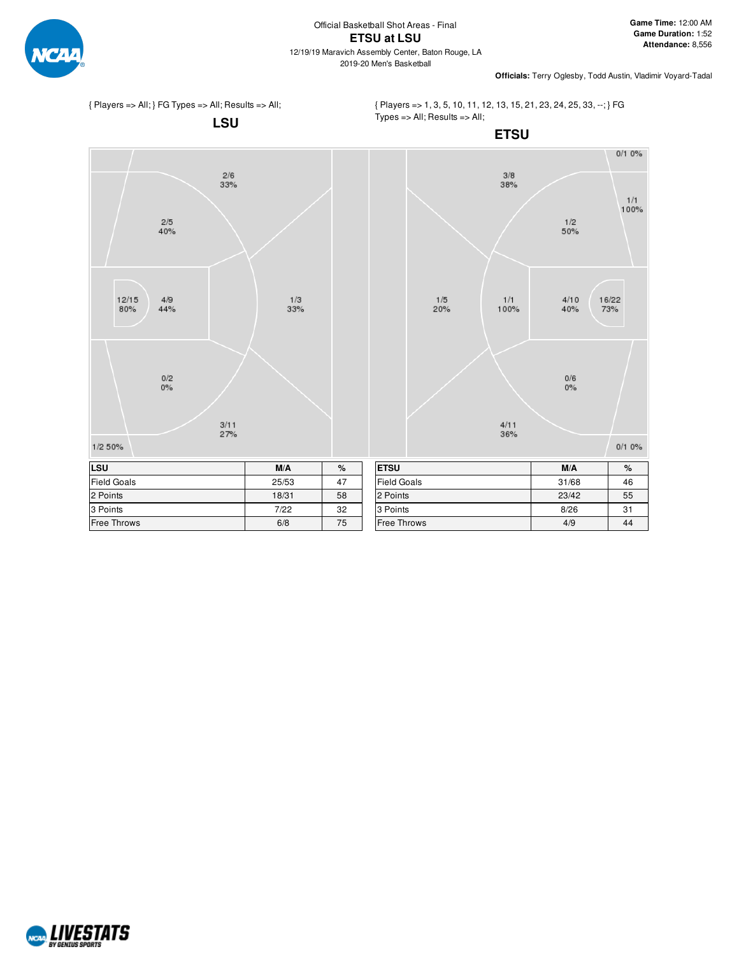

**Officials:** Terry Oglesby, Todd Austin, Vladimir Voyard-Tadal



{ Players => 1, 3, 5, 10, 11, 12, 13, 15, 21, 23, 24, 25, 33, --; } FG Types => All; Results => All;



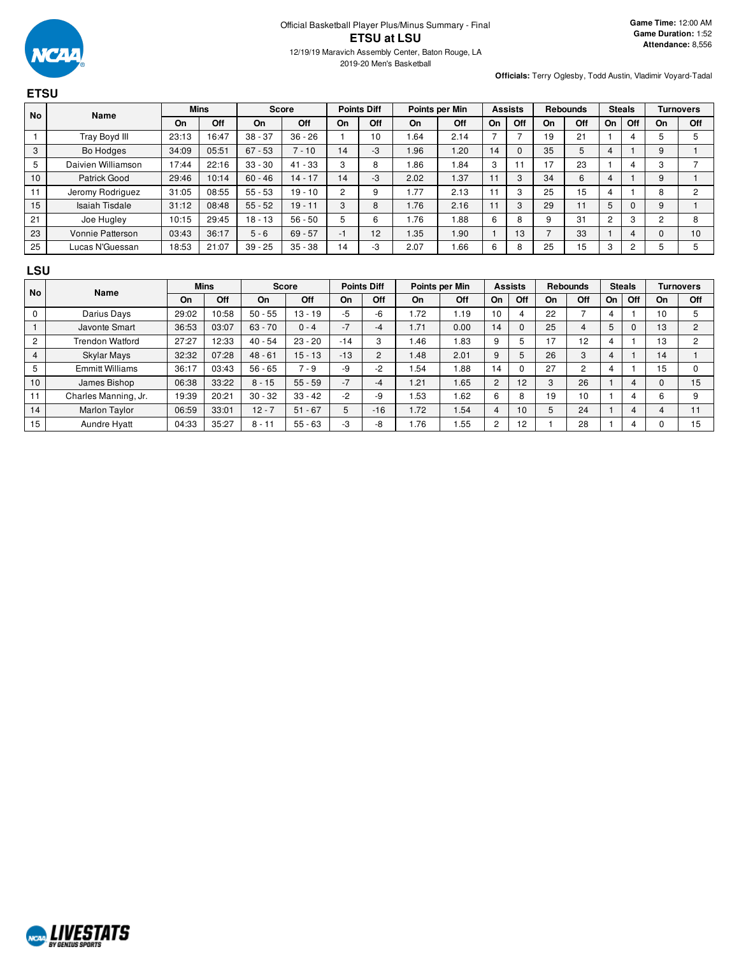

**ETSU**

**Officials:** Terry Oglesby, Todd Austin, Vladimir Voyard-Tadal

#### **No Name Mins Score Points Diff Points per Min Assists Rebounds Steals Turnovers On Off On Off On Off On Off On Off On Off On Off On Off** 1 | Tray Boyd III | 23:13 | 16:47 | 38 - 37 | 36 - 26 | 1 | 10 | 1.64 | 2.14 | 7 | 7 | 19 | 21 | 1 | 4 | 5 | 5 3 | Bo Hodges | 34:09 | 05:51 | 67 - 53 | 7 - 10 | 14 | -3 | 1.96 | 1.20 | 14 | 0 | 35 | 5 | 4 | 1 | 9 | 1 5 | Daivien Williamson | 17:44 | 22:16 | 33 - 30 | 41 - 33 | 3 | 8 | 1.86 | 1.84 | 3 | 11 | 17 | 23 | 1 | 4 | 3 | 7 10 | Patrick Good | 29:46 | 10:14 | 60 - 46 | 14 - 17 | 14 | -3 | 2.02 | 1.37 | 11 | 3 | 34 | 6 | 4 | 1 | 9 | 1 11 Jeromy Rodriguez 31:05 08:55 55 - 53 19 - 10 2 9 1.77 2.13 11 3 25 15 4 1 8 2 15 | Isaiah Tisdale | 31:12 | 08:48 | 55 - 52 | 19 - 11 | 3 | 8 | 1.76 | 2.16 | 11 | 3 | 29 | 11 | 5 | 0 | 9 | 1 21 | Joe Hugley | 10:15 | 29:45 | 18 - 13 | 56 - 50 | 5 | 6 | 1.76 | 1.88 | 6 | 8 | 9 | 31 | 2 | 3 | 2 | 8 23 | Vonnie Patterson | 03:43 | 36:17 | 5 - 6 | 69 - 57 | -1 | 12 | 1.35 | 1.90 | 1 | 13 | 7 | 33 | 1 | 4 | 0 | 10 25 Lucas N'Guessan 18:53 21:07 39 - 25 35 - 38 14 3 2.07 1.66 6 8 25 15 3 2 5 5

#### **LSU**

| No             |                        | <b>Mins</b><br><b>Name</b> |       | <b>Points Diff</b><br><b>Score</b> |           |       | Points per Min |      | <b>Assists</b> |                | <b>Rebounds</b> |               | <b>Steals</b> |    | <b>Turnovers</b> |    |              |
|----------------|------------------------|----------------------------|-------|------------------------------------|-----------|-------|----------------|------|----------------|----------------|-----------------|---------------|---------------|----|------------------|----|--------------|
|                |                        | On                         | Off   | On                                 | Off       | On    | Off            | On   | Off            | On             | Off             | On            | Off           | On | Off              | On | Off          |
| U              | Darius Days            | 29:02                      | 10:58 | $50 - 55$                          | 13 - 19   | $-5$  | -6             | 1.72 | 1.19           | 10             | 4               | 22            |               |    |                  | 10 |              |
|                | Javonte Smart          | 36:53                      | 03:07 | $63 - 70$                          | $0 - 4$   | $-7$  | -4             | 1.71 | 0.00           | 14             | 0               | 25            | 4             | 5  |                  | 13 | <sup>o</sup> |
| $\overline{c}$ | Trendon Watford        | 27:27                      | 12:33 | $40 - 54$                          | $23 - 20$ | $-14$ | 3              | 1.46 | 1.83           | 9              | 5               | 17            | 12            |    |                  | 13 |              |
| 4              | <b>Skylar Mays</b>     | 32:32                      | 07:28 | $48 - 61$                          | 15 - 13   | $-13$ | $\overline{2}$ | 1.48 | 2.01           | 9              | 5               | 26            | 3             |    |                  | 14 |              |
| 5              | <b>Emmitt Williams</b> | 36:17                      | 03:43 | $56 - 65$                          | $7 - 9$   | $-9$  | $-2$           | .54  | .88            | 14             | 0               | 27            | 2             |    |                  | 15 |              |
| 10             | James Bishop           | 06:38                      | 33:22 | $8 - 15$                           | $55 - 59$ | $-7$  | -4             | 1.21 | .65            | $\overline{2}$ | 12              | $\Omega$<br>5 | 26            |    |                  |    | 15           |
|                | Charles Manning, Jr.   | 19:39                      | 20:21 | $30 - 32$                          | $33 - 42$ | $-2$  | -9             | .53  | 1.62           | 6              | 8               | 19            | 10            |    |                  | b  |              |
| 14             | <b>Marlon Taylor</b>   | 06:59                      | 33:01 | $12 - 7$                           | $51 - 67$ |       | $-16$          | 1.72 | 1.54           | 4              | 10              |               | 24            |    |                  |    | 11           |
| 15             | Aundre Hyatt           | 04:33                      | 35:27 | $8 - 11$                           | $55 - 63$ | $-3$  | -8             | 1.76 | 1.55           | 2              | 12              |               | 28            |    |                  |    | 15           |

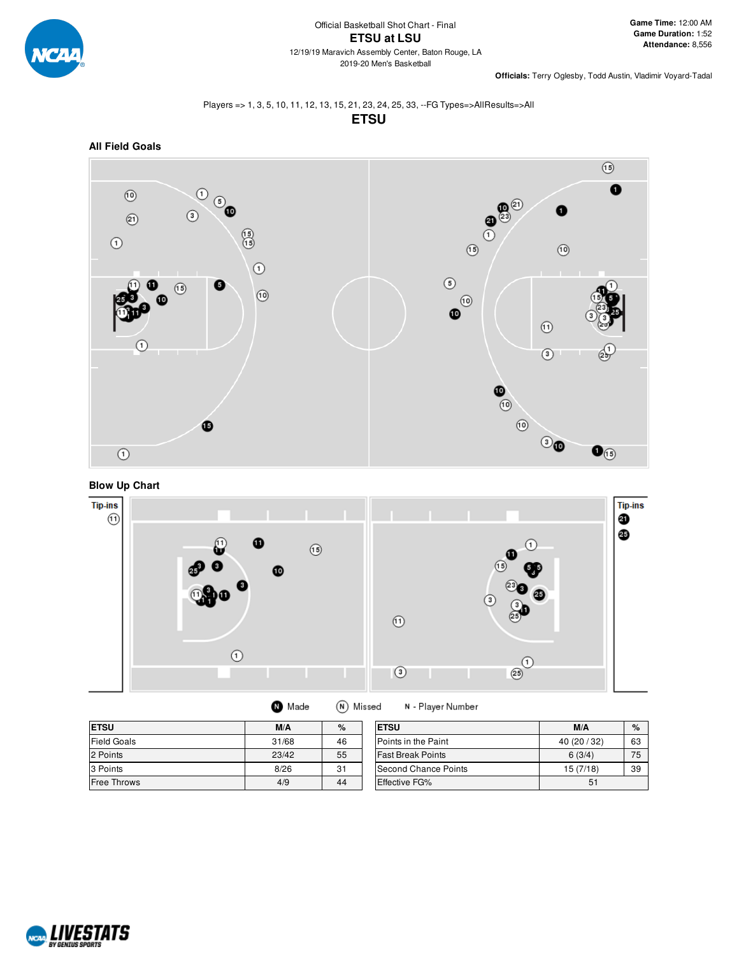

**Officials:** Terry Oglesby, Todd Austin, Vladimir Voyard-Tadal

### Players => 1, 3, 5, 10, 11, 12, 13, 15, 21, 23, 24, 25, 33, --FG Types=>AllResults=>All **ETSU**







(N) Missed

| <b>ETSU</b>        | M/A   | $\%$ | <b>ETSU</b>          |
|--------------------|-------|------|----------------------|
| <b>Field Goals</b> | 31/68 | 46   | Points in the F      |
| 2 Points           | 23/42 | 55   | <b>Fast Break Po</b> |
| 3 Points           | 8/26  | 31   | Second Chan          |
| <b>Free Throws</b> | 4/9   | 44   | Effective FG%        |

**O** Made

| <b>IETSU</b>               | M/A       | $\%$ |
|----------------------------|-----------|------|
| <b>Points in the Paint</b> | 40(20/32) | 63   |
| lFast Break Points         | 6(3/4)    | 75   |
| Second Chance Points       | 15 (7/18) | 39   |
| <b>Effective FG%</b>       | 51        |      |

N - Player Number

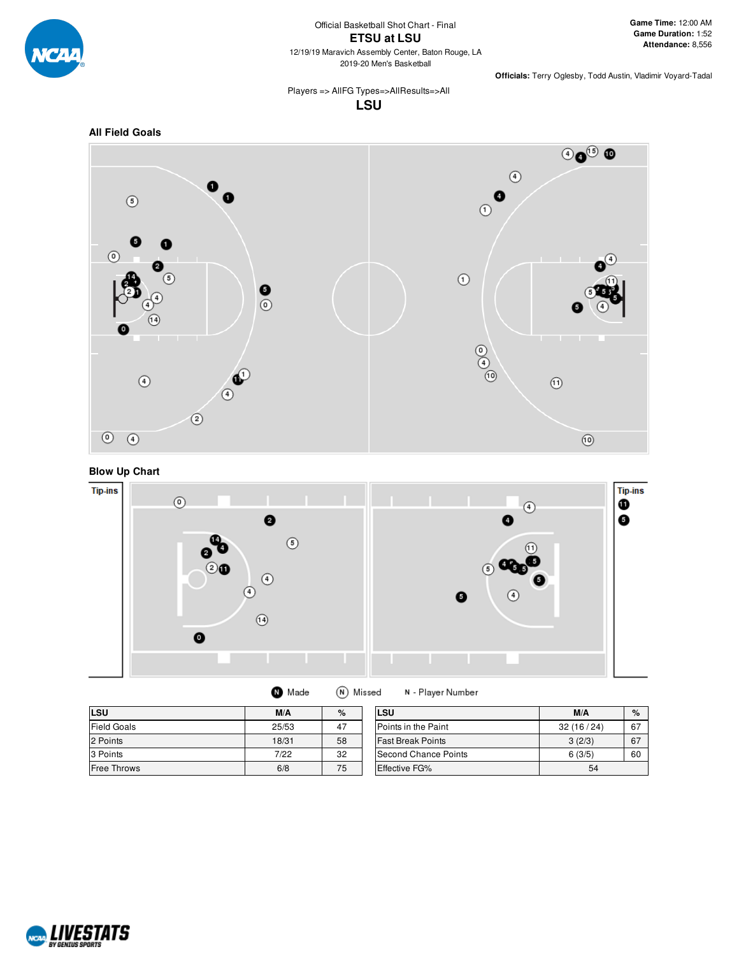

**Officials:** Terry Oglesby, Todd Austin, Vladimir Voyard-Tadal

Players => AllFG Types=>AllResults=>All **LSU**









| Made | (N) Missed | N |
|------|------------|---|
|------|------------|---|

- Player Number

| LSU                | M/A   | $\%$ | LSU                      | M/A       | $\%$ |
|--------------------|-------|------|--------------------------|-----------|------|
| <b>Field Goals</b> | 25/53 | 47   | Points in the Paint      | 32(16/24) | 67   |
| 2 Points           | 18/31 | 58   | <b>Fast Break Points</b> | 3(2/3)    | 67   |
| 3 Points           | 7/22  | 32   | Second Chance Points     | 6(3/5)    | 60   |
| <b>Free Throws</b> | 6/8   | 75   | <b>Effective FG%</b>     | 54        |      |

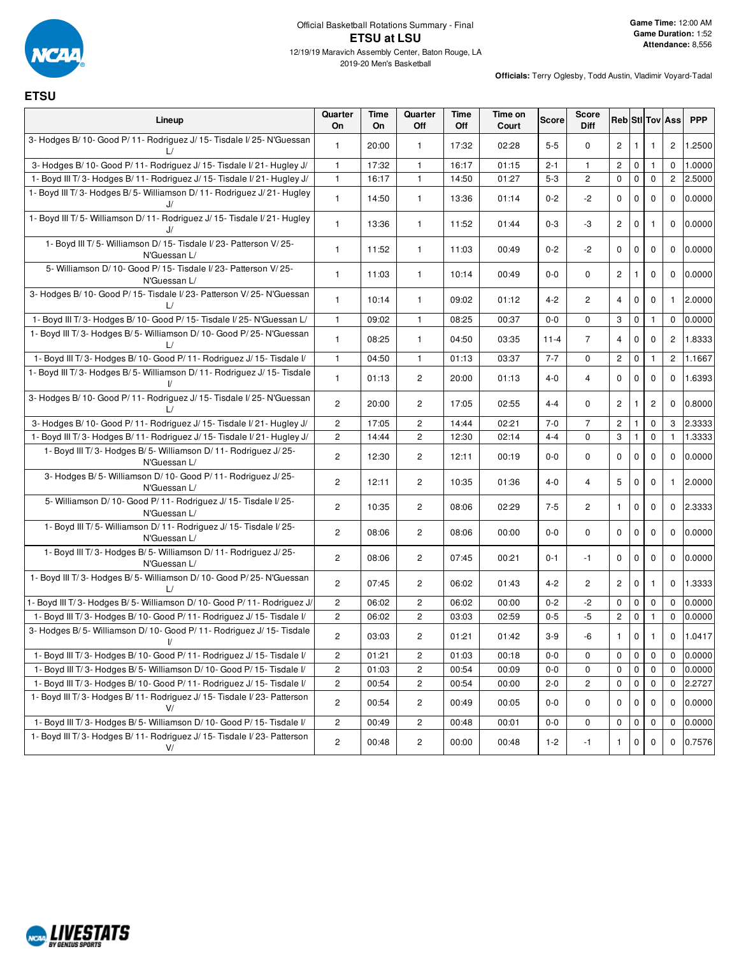

### Official Basketball Rotations Summary - Final **ETSU at LSU** 12/19/19 Maravich Assembly Center, Baton Rouge, LA

2019-20 Men's Basketball

# **ETSU**

| Lineup                                                                                 | Quarter<br>On           | Time<br>On | Quarter<br>Off        | Time<br>Off | Time on<br>Court | <b>Score</b> | <b>Score</b><br><b>Diff</b> |                         |              |                | <b>Reb</b> StI Tov Ass | <b>PPP</b> |
|----------------------------------------------------------------------------------------|-------------------------|------------|-----------------------|-------------|------------------|--------------|-----------------------------|-------------------------|--------------|----------------|------------------------|------------|
| 3- Hodges B/ 10- Good P/ 11- Rodriguez J/ 15- Tisdale I/ 25- N'Guessan                 | $\mathbf{1}$            | 20:00      | $\mathbf{1}$          | 17:32       | 02:28            | $5 - 5$      | $\mathbf 0$                 | $\mathbf{2}^{\prime}$   | $\mathbf{1}$ | 1              | $\overline{c}$         | 1.2500     |
| 3- Hodges B/10- Good P/11- Rodriguez J/15- Tisdale I/21- Hugley J/                     | $\mathbf{1}$            | 17:32      | $\mathbf{1}$          | 16:17       | 01:15            | $2 - 1$      | $\mathbf{1}$                | $\overline{2}$          | $\mathbf 0$  | $\mathbf{1}$   | 0                      | 1.0000     |
| 1- Boyd III T/3- Hodges B/11- Rodriguez J/15- Tisdale I/21- Hugley J/                  | $\mathbf{1}$            | 16:17      | $\mathbf{1}$          | 14:50       | 01:27            | $5 - 3$      | $\overline{2}$              | 0                       | $\pmb{0}$    | $\mathbf 0$    | $\mathbf{2}$           | 2.5000     |
| 1- Boyd III T/3- Hodges B/5- Williamson D/11- Rodriguez J/21- Hugley<br>J/             | $\mathbf{1}$            | 14:50      | $\mathbf{1}$          | 13:36       | 01:14            | $0 - 2$      | $-2$                        | 0                       | 0            | 0              | 0                      | 0.0000     |
| 1- Boyd III T/5- Williamson D/11- Rodriguez J/15- Tisdale I/21- Hugley                 | $\mathbf{1}$            | 13:36      | $\mathbf{1}$          | 11:52       | 01:44            | $0 - 3$      | -3                          | $\overline{c}$          | 0            | $\mathbf{1}$   | 0                      | 0.0000     |
| 1- Boyd III T/5- Williamson D/15- Tisdale I/23- Patterson V/25-<br>N'Guessan L/        | $\mathbf{1}$            | 11:52      | $\mathbf{1}$          | 11:03       | 00:49            | $0 - 2$      | $-2$                        | 0                       | 0            | 0              | 0                      | 0.0000     |
| 5- Williamson D/10- Good P/15- Tisdale I/23- Patterson V/25-<br>N'Guessan L/           | $\mathbf{1}$            | 11:03      | $\mathbf{1}$          | 10:14       | 00:49            | $0-0$        | $\mathbf 0$                 | $\mathbf{2}^{\prime}$   | $\mathbf{1}$ | 0              | 0                      | 0.0000     |
| 3- Hodges B/10- Good P/15- Tisdale I/23- Patterson V/25- N'Guessan<br>L/               | $\mathbf{1}$            | 10:14      | $\mathbf{1}$          | 09:02       | 01:12            | $4 - 2$      | $\overline{c}$              | 4                       | 0            | 0              | 1.                     | 2.0000     |
| 1- Boyd III T/3- Hodges B/10- Good P/15- Tisdale I/25- N'Guessan L/                    | $\mathbf{1}$            | 09:02      | $\mathbf{1}$          | 08:25       | 00:37            | $0-0$        | $\mathbf 0$                 | 3                       | $\pmb{0}$    | 1              | 0                      | 0.0000     |
| 1- Boyd III T/3- Hodges B/5- Williamson D/10- Good P/25- N'Guessan                     | $\mathbf{1}$            | 08:25      | $\mathbf{1}$          | 04:50       | 03:35            | $11 - 4$     | $\overline{7}$              | 4                       | $\mathbf 0$  | 0              | $\overline{c}$         | 1.8333     |
| 1- Boyd III T/3- Hodges B/ 10- Good P/ 11- Rodriguez J/ 15- Tisdale I/                 | $\mathbf{1}$            | 04:50      | 1                     | 01:13       | 03:37            | $7 - 7$      | $\mathbf 0$                 | $\overline{c}$          | $\pmb{0}$    | 1              | $\mathbf{2}^{\prime}$  | 1.1667     |
| 1- Boyd III T/3- Hodges B/5- Williamson D/11- Rodriguez J/15- Tisdale                  | $\mathbf{1}$            | 01:13      | $\mathbf{2}$          | 20:00       | 01:13            | $4 - 0$      | $\overline{4}$              | 0                       | $\mathbf 0$  | $\mathbf 0$    | 0                      | 1.6393     |
| 3- Hodges B/ 10- Good P/ 11- Rodriguez J/ 15- Tisdale I/ 25- N'Guessan                 | $\overline{2}$          | 20:00      | $\overline{2}$        | 17:05       | 02:55            | $4 - 4$      | $\mathbf 0$                 | $\overline{c}$          | $\mathbf{1}$ | $\overline{2}$ | 0                      | 0.8000     |
| 3- Hodges B/ 10- Good P/ 11- Rodriguez J/ 15- Tisdale I/ 21- Hugley J/                 | $\overline{\mathbf{c}}$ | 17:05      | $\overline{c}$        | 14:44       | 02:21            | $7 - 0$      | $\overline{7}$              | $\overline{\mathbf{c}}$ | $\mathbf{1}$ | 0              | 3                      | 2.3333     |
| 1- Boyd III T/3- Hodges B/11- Rodriguez J/15- Tisdale I/21- Hugley J/                  | $\mathbf{2}$            | 14:44      | $\mathbf{2}^{\prime}$ | 12:30       | 02:14            | $4 - 4$      | $\mathbf 0$                 | 3                       | $\mathbf{1}$ | 0              | $\mathbf{1}$           | 1.3333     |
| 1- Boyd III T/3- Hodges B/5- Williamson D/11- Rodriguez J/25-<br>N'Guessan L/          | $\mathbf{2}$            | 12:30      | $\mathbf{2}$          | 12:11       | 00:19            | $0-0$        | $\mathbf 0$                 | 0                       | $\mathbf 0$  | $\mathbf 0$    | 0                      | 0.0000     |
| 3- Hodges B/5- Williamson D/10- Good P/11- Rodriguez J/25-<br>N'Guessan L/             | $\mathbf{2}$            | 12:11      | $\mathbf{2}$          | 10:35       | 01:36            | $4 - 0$      | 4                           | 5                       | 0            | 0              | 1                      | 2.0000     |
| 5- Williamson D/ 10- Good P/ 11- Rodriguez J/ 15- Tisdale I/ 25-<br>N'Guessan L/       | $\overline{c}$          | 10:35      | $\mathbf{2}^{\prime}$ | 08:06       | 02:29            | $7 - 5$      | $\overline{c}$              | 1                       | $\mathbf 0$  | $\mathbf 0$    | 0                      | 2.3333     |
| 1- Boyd III T/5- Williamson D/11- Rodriguez J/15- Tisdale I/25-<br>N'Guessan L/        | $\overline{c}$          | 08:06      | $\overline{c}$        | 08:06       | 00:00            | $0-0$        | $\mathbf{0}$                | 0                       | $\mathbf 0$  | $\mathbf 0$    | 0                      | 0.0000     |
| 1- Boyd III T/3- Hodges B/5- Williamson D/11- Rodriguez J/25-<br>N'Guessan L/          | $\overline{c}$          | 08:06      | $\mathbf{2}$          | 07:45       | 00:21            | 0-1          | $-1$                        | 0                       | 0            | $\mathbf 0$    | 0                      | 0.0000     |
| 1- Boyd III T/3- Hodges B/5- Williamson D/10- Good P/25- N'Guessan                     | $\mathbf{2}$            | 07:45      | 2                     | 06:02       | 01:43            | $4 - 2$      | 2                           | 2                       | 0            | 1              | 0                      | 1.3333     |
| 1- Boyd III T/3- Hodges B/5- Williamson D/10- Good P/11- Rodriguez J/                  | $\overline{c}$          | 06:02      | $\overline{c}$        | 06:02       | 00:00            | $0 - 2$      | $-2$                        | 0                       | $\mathbf 0$  | 0              | $\mathbf 0$            | 0.0000     |
| 1- Boyd III T/3- Hodges B/10- Good P/11- Rodriguez J/15- Tisdale I/                    | $\mathbf{2}$            | 06:02      | $\overline{c}$        | 03:03       | 02:59            | $0 - 5$      | $-5$                        | $\overline{\mathbf{c}}$ | $\pmb{0}$    | $\mathbf{1}$   | 0                      | 0.0000     |
| 3- Hodges B/ 5- Williamson D/ 10- Good P/ 11- Rodriguez J/ 15- Tisdale<br>$\mathsf{V}$ | $\overline{c}$          | 03:03      | $\mathbf{2}^{\prime}$ | 01:21       | 01:42            | $3-9$        | -6                          | 1                       | 0            | 1              | 0                      | 1.0417     |
| 1- Boyd III T/3- Hodges B/10- Good P/11- Rodriguez J/15- Tisdale I/                    | $\overline{c}$          | 01:21      | $\mathbf{2}^{\prime}$ | 01:03       | 00:18            | $0-0$        | 0                           | 0                       | $\pmb{0}$    | 0              | 0                      | 0.0000     |
| 1- Boyd III T/3- Hodges B/5- Williamson D/10- Good P/15- Tisdale I/                    | 2                       | 01:03      | $\overline{c}$        | 00:54       | 00:09            | $0-0$        | 0                           | 0                       | 0            | 0              | 0                      | 0.0000     |
| 1- Boyd III T/3- Hodges B/10- Good P/11- Rodriguez J/15- Tisdale I/                    | $\overline{c}$          | 00:54      | $\overline{c}$        | 00:54       | 00:00            | $2 - 0$      | $\overline{c}$              | 0                       | 0            | 0              | 0                      | 2.2727     |
| 1- Boyd III T/3- Hodges B/11- Rodriguez J/15- Tisdale I/23- Patterson<br>V/            | $\mathbf{2}$            | 00:54      | $\overline{c}$        | 00:49       | 00:05            | $0-0$        | 0                           | 0                       | $\mathbf 0$  | 0              | 0                      | 0.0000     |
| 1- Boyd III T/3- Hodges B/5- Williamson D/10- Good P/15- Tisdale I/                    | $\overline{2}$          | 00:49      | $\overline{c}$        | 00:48       | 00:01            | $0-0$        | 0                           | 0                       | $\mathbf 0$  | 0              | 0                      | 0.0000     |
| 1- Boyd III T/3- Hodges B/11- Rodriguez J/15- Tisdale I/23- Patterson<br>V/            | $\mathbf{2}$            | 00:48      | $\overline{c}$        | 00:00       | 00:48            | $1 - 2$      | -1                          | 1                       | 0            | 0              | 0                      | 0.7576     |

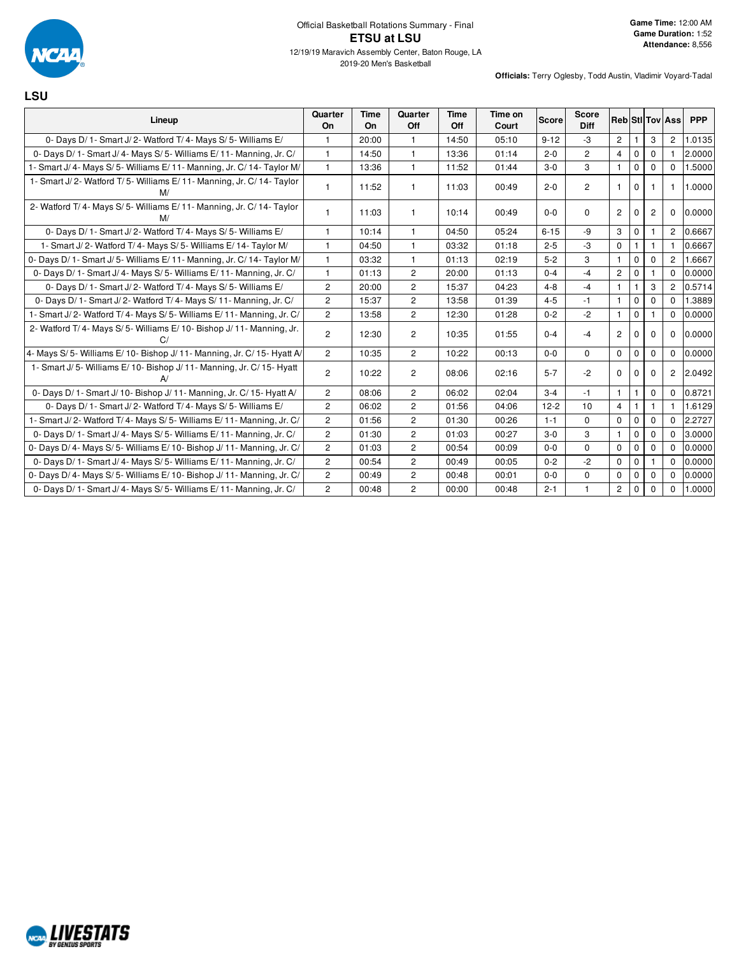

### Official Basketball Rotations Summary - Final **ETSU at LSU** 12/19/19 Maravich Assembly Center, Baton Rouge, LA

**LSU**

| Lineup                                                                    | Quarter<br>On         | <b>Time</b><br><b>On</b> | Quarter<br>Off | <b>Time</b><br>Off | Time on<br>Court | <b>Score</b> | <b>Score</b><br><b>Diff</b> |                       |              |                | <b>Reb Sti Tov Ass</b> | <b>PPP</b> |
|---------------------------------------------------------------------------|-----------------------|--------------------------|----------------|--------------------|------------------|--------------|-----------------------------|-----------------------|--------------|----------------|------------------------|------------|
| 0- Days D/1- Smart J/2- Watford T/4- Mays S/5- Williams E/                |                       | 20:00                    | 1              | 14:50              | 05:10            | $9 - 12$     | -3                          | $\overline{c}$        |              | 3              | 2                      | 1.0135     |
| 0- Days D/ 1- Smart J/ 4- Mays S/ 5- Williams E/ 11- Manning, Jr. C/      | $\mathbf{1}$          | 14:50                    | $\mathbf{1}$   | 13:36              | 01:14            | $2 - 0$      | $\overline{2}$              | $\overline{4}$        | $\mathbf 0$  | $\Omega$       |                        | 2.0000     |
| - Smart J/ 4- Mays S/ 5- Williams E/ 11- Manning, Jr. C/ 14- Taylor M/    | 1                     | 13:36                    | $\mathbf{1}$   | 11:52              | 01:44            | $3-0$        | 3                           | $\mathbf{1}$          | $\mathbf 0$  | $\Omega$       | $\Omega$               | 1.5000     |
| 1- Smart J/2- Watford T/5- Williams E/11- Manning, Jr. C/14- Taylor<br>M/ |                       | 11:52                    | $\mathbf{1}$   | 11:03              | 00:49            | $2 - 0$      | $\overline{2}$              | $\mathbf{1}$          | $\mathbf 0$  |                | -1                     | 1.0000     |
| 2- Watford T/4- Mays S/5- Williams E/11- Manning, Jr. C/14- Taylor<br>M/  |                       | 11:03                    | 1              | 10:14              | 00:49            | $0 - 0$      | $\Omega$                    | $\overline{c}$        | 0            | $\overline{2}$ | $\Omega$               | 0.0000     |
| 0- Days D/1- Smart J/2- Watford T/4- Mays S/5- Williams E/                | 1                     | 10:14                    | $\mathbf{1}$   | 04:50              | 05:24            | $6 - 15$     | -9                          | 3                     | $\mathbf 0$  |                | $\overline{2}$         | 0.6667     |
| 1- Smart J/2- Watford T/4- Mays S/5- Williams E/14- Taylor M/             |                       | 04:50                    | $\mathbf{1}$   | 03:32              | 01:18            | $2 - 5$      | -3                          | 0                     |              |                |                        | 0.6667     |
| 0- Days D/ 1- Smart J/ 5- Williams E/ 11- Manning, Jr. C/ 14- Taylor M/   | 1                     | 03:32                    | $\mathbf{1}$   | 01:13              | 02:19            | $5 - 2$      | 3                           | $\mathbf{1}$          | $\mathbf 0$  | $\mathbf 0$    | $\overline{2}$         | 1.6667     |
| 0- Days D/ 1- Smart J/ 4- Mays S/ 5- Williams E/ 11- Manning, Jr. C/      | 1                     | 01:13                    | $\overline{2}$ | 20:00              | 01:13            | $0 - 4$      | $-4$                        | $\overline{2}$        | $\mathbf 0$  |                | $\Omega$               | 0.0000     |
| 0- Days D/1- Smart J/2- Watford T/4- Mays S/5- Williams E/                | $\overline{2}$        | 20:00                    | $\overline{2}$ | 15:37              | 04:23            | $4 - 8$      | $-4$                        | $\mathbf{1}$          | -1           | 3              | 2                      | 0.5714     |
| 0- Days D/ 1- Smart J/ 2- Watford T/ 4- Mays S/ 11- Manning, Jr. C/       | $\overline{2}$        | 15:37                    | $\overline{2}$ | 13:58              | 01:39            | $4 - 5$      | $-1$                        | $\mathbf{1}$          | $\mathbf 0$  | $\Omega$       | $\Omega$               | 1.3889     |
| - Smart J/2- Watford T/4- Mays S/5- Williams E/11- Manning, Jr. C/        | $\overline{2}$        | 13:58                    | $\overline{2}$ | 12:30              | 01:28            | $0 - 2$      | $-2$                        | $\mathbf{1}$          | $\mathbf 0$  |                | $\Omega$               | 0.0000     |
| 2- Watford T/4- Mays S/5- Williams E/10- Bishop J/11- Manning, Jr.        | $\overline{c}$        | 12:30                    | $\overline{2}$ | 10:35              | 01:55            | $0 - 4$      | $-4$                        | $\overline{c}$        | 0            | 0              | $\mathbf 0$            | 0.0000     |
| 4- Mays S/5- Williams E/10- Bishop J/11- Manning, Jr. C/15- Hyatt A/      | $\mathbf{2}^{\prime}$ | 10:35                    | $\overline{2}$ | 10:22              | 00:13            | $0 - 0$      | $\Omega$                    | $\mathbf 0$           | $\mathbf 0$  | $\Omega$       | $\Omega$               | 0.0000     |
| 1- Smart J/5- Williams E/10- Bishop J/11- Manning, Jr. C/15- Hyatt        | $\overline{c}$        | 10:22                    | $\overline{2}$ | 08:06              | 02:16            | $5 - 7$      | $-2$                        | 0                     | 0            | $\Omega$       | $\mathbf{2}^{\circ}$   | 2.0492     |
| 0- Days D/ 1- Smart J/ 10- Bishop J/ 11- Manning, Jr. C/ 15- Hyatt A/     | 2                     | 08:06                    | 2              | 06:02              | 02:04            | $3 - 4$      | -1                          | $\mathbf{1}$          |              | $\Omega$       | $\Omega$               | 0.8721     |
| 0- Days D/1- Smart J/2- Watford T/4- Mays S/5- Williams E/                | $\overline{2}$        | 06:02                    | $\overline{2}$ | 01:56              | 04:06            | $12 - 2$     | 10                          | $\overline{4}$        | $\mathbf{1}$ |                |                        | 1.6129     |
| 1- Smart J/2- Watford T/4- Mays S/5- Williams E/11- Manning, Jr. C/       | $\mathbf{2}$          | 01:56                    | $\mathbf{2}$   | 01:30              | 00:26            | $1 - 1$      | $\mathbf 0$                 | 0                     | $\mathbf 0$  | $\mathbf 0$    | $\Omega$               | 2.2727     |
| 0- Days D/ 1- Smart J/ 4- Mays S/ 5- Williams E/ 11- Manning, Jr. C/      | $\overline{2}$        | 01:30                    | $\overline{2}$ | 01:03              | 00:27            | $3-0$        | 3                           | $\mathbf{1}$          | $\Omega$     | $\Omega$       | $\Omega$               | 3.0000     |
| 0- Days D/4- Mays S/5- Williams E/10- Bishop J/11- Manning, Jr. C/        | $\mathbf{2}^{\prime}$ | 01:03                    | $\mathbf{2}$   | 00:54              | 00:09            | $0 - 0$      | $\Omega$                    | $\mathbf 0$           | $\mathbf 0$  | 0              | $\Omega$               | 0.0000     |
| 0- Days D/ 1- Smart J/ 4- Mays S/ 5- Williams E/ 11- Manning, Jr. C/      | $\overline{c}$        | 00:54                    | $\overline{2}$ | 00:49              | 00:05            | $0 - 2$      | $-2$                        | 0                     | $\mathbf 0$  |                | $\Omega$               | 0.0000     |
| 0- Days D/4- Mays S/5- Williams E/10- Bishop J/11- Manning, Jr. C/        | $\mathbf{2}$          | 00:49                    | $\mathbf{2}$   | 00:48              | 00:01            | $0-0$        | $\mathbf 0$                 | 0                     | $\mathbf 0$  | $\Omega$       | $\Omega$               | 0.0000     |
| 0- Days D/ 1- Smart J/ 4- Mays S/ 5- Williams E/ 11- Manning, Jr. C/      | $\mathbf{2}^{\prime}$ | 00:48                    | $\overline{2}$ | 00:00              | 00:48            | $2 - 1$      |                             | $\mathbf{2}^{\prime}$ | $\mathbf 0$  | $\Omega$       | $\mathbf 0$            | 1.0000     |

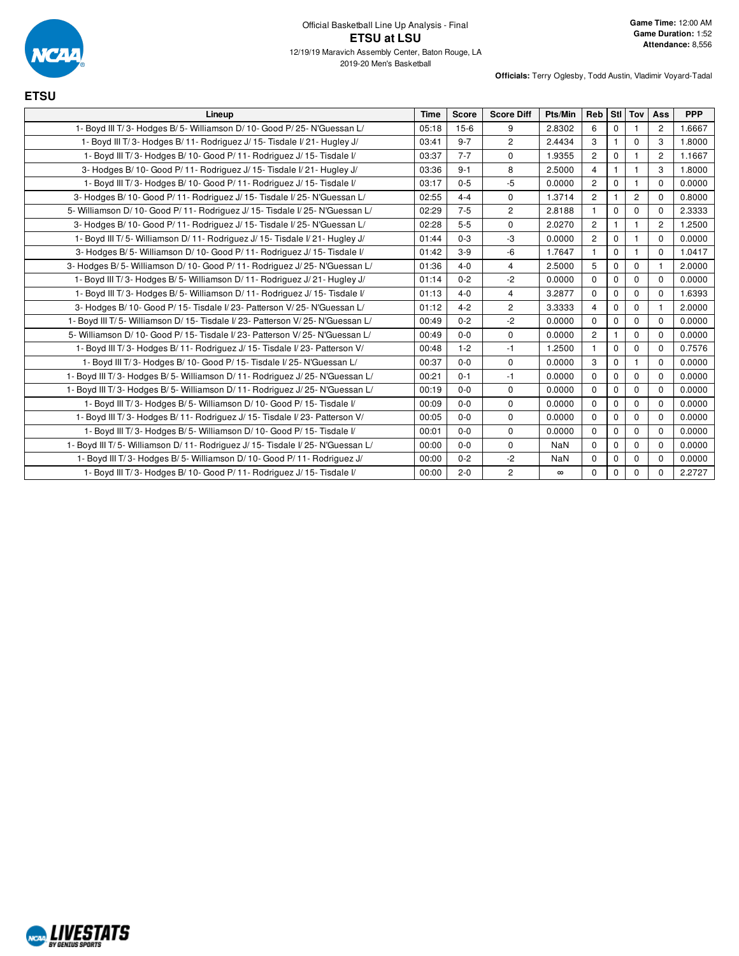

**ETSU**

| Lineup                                                                        | <b>Time</b> | <b>Score</b> | <b>Score Diff</b>       | Pts/Min    | <b>Reb</b>     |             | Stl Tov        | Ass            | <b>PPP</b> |
|-------------------------------------------------------------------------------|-------------|--------------|-------------------------|------------|----------------|-------------|----------------|----------------|------------|
| 1- Boyd III T/3- Hodges B/5- Williamson D/10- Good P/25- N'Guessan L/         | 05:18       | $15-6$       | 9                       | 2.8302     | 6              | $\mathbf 0$ |                | $\overline{2}$ | 1.6667     |
| 1- Boyd III T/3- Hodges B/11- Rodriguez J/15- Tisdale I/21- Hugley J/         | 03:41       | $9 - 7$      | $\overline{2}$          | 2.4434     | 3              | 1           | $\Omega$       | 3              | 1.8000     |
| 1- Boyd III T/3- Hodges B/10- Good P/11- Rodriguez J/15- Tisdale I/           | 03:37       | $7 - 7$      | $\Omega$                | 1.9355     | $\overline{2}$ | $\mathbf 0$ | $\mathbf{1}$   | $\overline{c}$ | 1.1667     |
| 3- Hodges B/ 10- Good P/ 11- Rodriguez J/ 15- Tisdale I/ 21- Hugley J/        | 03:36       | $9 - 1$      | 8                       | 2.5000     | 4              | 1           |                | 3              | 1.8000     |
| 1- Boyd III T/3- Hodges B/10- Good P/11- Rodriguez J/15- Tisdale I/           | 03:17       | $0 - 5$      | $-5$                    | 0.0000     | $\overline{2}$ | $\mathbf 0$ |                | $\Omega$       | 0.0000     |
| 3- Hodges B/10- Good P/11- Rodriguez J/15- Tisdale I/25- N'Guessan L/         | 02:55       | $4 - 4$      | $\Omega$                | 1.3714     | $\overline{2}$ | 1           | $\overline{c}$ | $\Omega$       | 0.8000     |
| 5- Williamson D/10- Good P/11- Rodriguez J/15- Tisdale I/25- N'Guessan L/     | 02:29       | $7 - 5$      | $\overline{2}$          | 2.8188     |                | $\mathbf 0$ | $\mathbf 0$    | $\Omega$       | 2.3333     |
| 3- Hodges B/10- Good P/11- Rodriguez J/15- Tisdale I/25- N'Guessan L/         | 02:28       | $5-5$        | $\mathbf 0$             | 2.0270     | $\overline{2}$ | 1           | $\mathbf{1}$   | $\overline{2}$ | 1.2500     |
| 1- Boyd III T/5- Williamson D/11- Rodriguez J/15- Tisdale I/21- Hugley J/     | 01:44       | $0 - 3$      | -3                      | 0.0000     | $\overline{2}$ | $\mathbf 0$ |                | $\Omega$       | 0.0000     |
| 3- Hodges B/5- Williamson D/10- Good P/11- Rodriguez J/15- Tisdale I/         | 01:42       | $3-9$        | $-6$                    | 1.7647     | $\overline{1}$ | $\mathbf 0$ | $\mathbf{1}$   | $\Omega$       | 1.0417     |
| 3- Hodges B/5- Williamson D/10- Good P/11- Rodriguez J/25- N'Guessan L/       | 01:36       | $4 - 0$      | $\overline{\mathbf{4}}$ | 2.5000     | 5              | $\Omega$    | $\mathbf 0$    |                | 2.0000     |
| 1- Boyd III T/3- Hodges B/5- Williamson D/11- Rodriguez J/21- Hugley J/       | 01:14       | $0 - 2$      | $-2$                    | 0.0000     | $\Omega$       | $\mathbf 0$ | $\mathbf 0$    | $\Omega$       | 0.0000     |
| 1- Boyd III T/3- Hodges B/5- Williamson D/11- Rodriguez J/15- Tisdale I/      | 01:13       | $4 - 0$      | $\overline{4}$          | 3.2877     | $\Omega$       | $\Omega$    | $\Omega$       | $\Omega$       | 1.6393     |
| 3- Hodges B/10- Good P/15- Tisdale I/23- Patterson V/25- N'Guessan L/         | 01:12       | $4 - 2$      | $\overline{c}$          | 3.3333     | 4              | $\mathbf 0$ | $\mathbf 0$    | $\mathbf 1$    | 2.0000     |
| 1- Boyd III T/5- Williamson D/15- Tisdale I/23- Patterson V/25- N'Guessan L/  | 00:49       | $0 - 2$      | $-2$                    | 0.0000     | $\Omega$       | $\mathbf 0$ | $\Omega$       | $\Omega$       | 0.0000     |
| 5- Williamson D/ 10- Good P/ 15- Tisdale I/ 23- Patterson V/ 25- N'Guessan L/ | 00:49       | $0-0$        | $\mathbf 0$             | 0.0000     | $\overline{2}$ | 1           | $\mathbf 0$    | $\Omega$       | 0.0000     |
| 1- Boyd III T/3- Hodges B/11- Rodriguez J/15- Tisdale I/23- Patterson V/      | 00:48       | $1 - 2$      | $-1$                    | 1.2500     | $\overline{1}$ | $\mathbf 0$ | $\mathbf 0$    | $\Omega$       | 0.7576     |
| 1- Boyd III T/3- Hodges B/10- Good P/15- Tisdale I/25- N'Guessan L/           | 00:37       | $0-0$        | $\Omega$                | 0.0000     | 3              | $\mathbf 0$ |                | $\Omega$       | 0.0000     |
| 1- Boyd III T/3- Hodges B/5- Williamson D/11- Rodriguez J/25- N'Guessan L/    | 00:21       | $0 - 1$      | $-1$                    | 0.0000     | $\Omega$       | $\mathbf 0$ | $\mathbf 0$    | $\Omega$       | 0.0000     |
| 1- Boyd III T/3- Hodges B/5- Williamson D/11- Rodriguez J/25- N'Guessan L/    | 00:19       | $0 - 0$      | $\Omega$                | 0.0000     | $\Omega$       | 0           | $\mathbf 0$    | $\Omega$       | 0.0000     |
| 1- Boyd III T/3- Hodges B/5- Williamson D/10- Good P/15- Tisdale I/           | 00:09       | $0 - 0$      | $\mathbf 0$             | 0.0000     | $\Omega$       | $\mathbf 0$ | $\mathbf 0$    | $\Omega$       | 0.0000     |
| 1- Boyd III T/3- Hodges B/11- Rodriguez J/15- Tisdale I/23- Patterson V/      | 00:05       | $0-0$        | $\mathbf 0$             | 0.0000     | $\Omega$       | $\mathbf 0$ | $\mathbf 0$    | $\mathbf 0$    | 0.0000     |
| 1- Boyd III T/3- Hodges B/5- Williamson D/10- Good P/15- Tisdale I/           | 00:01       | $0 - 0$      | $\mathbf 0$             | 0.0000     | $\Omega$       | $\mathbf 0$ | $\mathbf 0$    | $\Omega$       | 0.0000     |
| 1- Boyd III T/5- Williamson D/11- Rodriguez J/15- Tisdale I/25- N'Guessan L/  | 00:00       | $0 - 0$      | $\Omega$                | <b>NaN</b> | $\Omega$       | $\Omega$    | $\Omega$       | $\Omega$       | 0.0000     |
| 1- Boyd III T/3- Hodges B/5- Williamson D/10- Good P/11- Rodriguez J/         | 00:00       | $0 - 2$      | $-2$                    | <b>NaN</b> | $\Omega$       | $\mathbf 0$ | 0              | $\mathbf 0$    | 0.0000     |
| 1- Boyd III T/3- Hodges B/10- Good P/11- Rodriguez J/15- Tisdale I/           | 00:00       | $2 - 0$      | $\overline{2}$          | $\infty$   | $\Omega$       | 0           | $\Omega$       | $\Omega$       | 2.2727     |